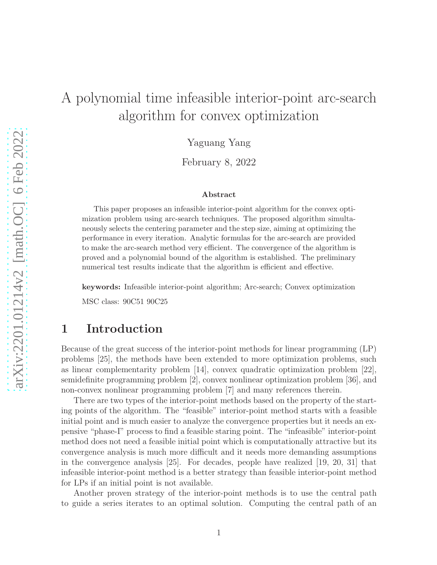# A polynomial time infeasible interior-point arc-search algorithm for convex optimization

Yaguang Yang

February 8, 2022

#### Abstract

This paper proposes an infeasible interior-point algorithm for the convex optimization problem using arc-search techniques. The proposed algorithm simultaneously selects the centering parameter and the step size, aiming at optimizing the performance in every iteration. Analytic formulas for the arc-search are provided to make the arc-search method very efficient. The convergence of the algorithm is proved and a polynomial bound of the algorithm is established. The preliminary numerical test results indicate that the algorithm is efficient and effective.

keywords: Infeasible interior-point algorithm; Arc-search; Convex optimization

MSC class: 90C51 90C25

### 1 Introduction

Because of the great success of the interior-point methods for linear programming (LP) problems [25], the methods have been extended to more optimization problems, such as linear complementarity problem [14], convex quadratic optimization problem [22], semidefinite programming problem [2], convex nonlinear optimization problem [36], and non-convex nonlinear programming problem [7] and many references therein.

There are two types of the interior-point methods based on the property of the starting points of the algorithm. The "feasible" interior-point method starts with a feasible initial point and is much easier to analyze the convergence properties but it needs an expensive "phase-I" process to find a feasible staring point. The "infeasible" interior-point method does not need a feasible initial point which is computationally attractive but its convergence analysis is much more difficult and it needs more demanding assumptions in the convergence analysis [25]. For decades, people have realized [19, 20, 31] that infeasible interior-point method is a better strategy than feasible interior-point method for LPs if an initial point is not available.

Another proven strategy of the interior-point methods is to use the central path to guide a series iterates to an optimal solution. Computing the central path of an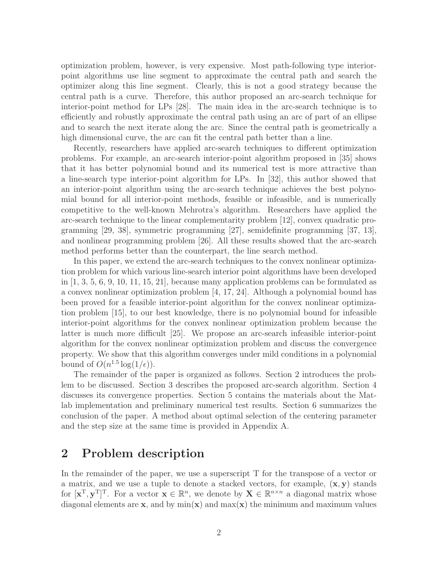optimization problem, however, is very expensive. Most path-following type interiorpoint algorithms use line segment to approximate the central path and search the optimizer along this line segment. Clearly, this is not a good strategy because the central path is a curve. Therefore, this author proposed an arc-search technique for interior-point method for LPs [28]. The main idea in the arc-search technique is to efficiently and robustly approximate the central path using an arc of part of an ellipse and to search the next iterate along the arc. Since the central path is geometrically a high dimensional curve, the arc can fit the central path better than a line.

Recently, researchers have applied arc-search techniques to different optimization problems. For example, an arc-search interior-point algorithm proposed in [35] shows that it has better polynomial bound and its numerical test is more attractive than a line-search type interior-point algorithm for LPs. In [32], this author showed that an interior-point algorithm using the arc-search technique achieves the best polynomial bound for all interior-point methods, feasible or infeasible, and is numerically competitive to the well-known Mehrotra's algorithm. Researchers have applied the arc-search technique to the linear complementarity problem [12], convex quadratic programming [29, 38], symmetric programming [27], semidefinite programming [37, 13], and nonlinear programming problem [26]. All these results showed that the arc-search method performs better than the counterpart, the line search method.

In this paper, we extend the arc-search techniques to the convex nonlinear optimization problem for which various line-search interior point algorithms have been developed in  $[1, 3, 5, 6, 9, 10, 11, 15, 21]$ , because many application problems can be formulated as a convex nonlinear optimization problem  $\vert 4, 17, 24 \vert$ . Although a polynomial bound has been proved for a feasible interior-point algorithm for the convex nonlinear optimization problem [15], to our best knowledge, there is no polynomial bound for infeasible interior-point algorithms for the convex nonlinear optimization problem because the latter is much more difficult [25]. We propose an arc-search infeasible interior-point algorithm for the convex nonlinear optimization problem and discuss the convergence property. We show that this algorithm converges under mild conditions in a polynomial bound of  $O(n^{1.5} \log(1/\epsilon)).$ 

The remainder of the paper is organized as follows. Section 2 introduces the problem to be discussed. Section 3 describes the proposed arc-search algorithm. Section 4 discusses its convergence properties. Section 5 contains the materials about the Matlab implementation and preliminary numerical test results. Section 6 summarizes the conclusion of the paper. A method about optimal selection of the centering parameter and the step size at the same time is provided in Appendix A.

# 2 Problem description

In the remainder of the paper, we use a superscript T for the transpose of a vector or a matrix, and we use a tuple to denote a stacked vectors, for example,  $(x, y)$  stands for  $[\mathbf{x}^T, \mathbf{y}^T]^T$ . For a vector  $\mathbf{x} \in \mathbb{R}^n$ , we denote by  $\mathbf{X} \in \mathbb{R}^{n \times n}$  a diagonal matrix whose diagonal elements are  $\mathbf{x}$ , and by  $\min(\mathbf{x})$  and  $\max(\mathbf{x})$  the minimum and maximum values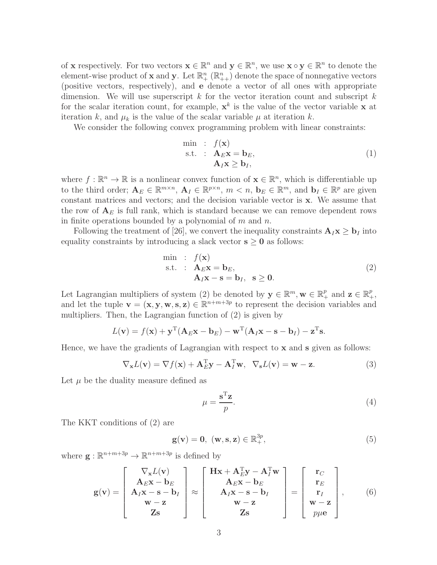of **x** respectively. For two vectors  $\mathbf{x} \in \mathbb{R}^n$  and  $\mathbf{y} \in \mathbb{R}^n$ , we use  $\mathbf{x} \circ \mathbf{y} \in \mathbb{R}^n$  to denote the element-wise product of **x** and **y**. Let  $\mathbb{R}^n_+$  ( $\mathbb{R}^n_{++}$ ) denote the space of nonnegative vectors (positive vectors, respectively), and e denote a vector of all ones with appropriate dimension. We will use superscript  $k$  for the vector iteration count and subscript  $k$ for the scalar iteration count, for example,  $\mathbf{x}^k$  is the value of the vector variable x at iteration k, and  $\mu_k$  is the value of the scalar variable  $\mu$  at iteration k.

We consider the following convex programming problem with linear constraints:

$$
\begin{array}{rcl}\n\min & : & f(\mathbf{x}) \\
\text{s.t.} & : & \mathbf{A}_{E}\mathbf{x} = \mathbf{b}_{E}, \\
 & & \mathbf{A}_{I}\mathbf{x} \ge \mathbf{b}_{I},\n\end{array} (1)
$$

where  $f : \mathbb{R}^n \to \mathbb{R}$  is a nonlinear convex function of  $\mathbf{x} \in \mathbb{R}^n$ , which is differentiable up to the third order;  $\mathbf{A}_E \in \mathbb{R}^{m \times n}$ ,  $\mathbf{A}_I \in \mathbb{R}^{p \times n}$ ,  $m < n$ ,  $\mathbf{b}_E \in \mathbb{R}^m$ , and  $\mathbf{b}_I \in \mathbb{R}^p$  are given constant matrices and vectors; and the decision variable vector is x. We assume that the row of  $A_E$  is full rank, which is standard because we can remove dependent rows in finite operations bounded by a polynomial of  $m$  and  $n$ .

Following the treatment of [26], we convert the inequality constraints  $\mathbf{A}_I \mathbf{x} \geq \mathbf{b}_I$  into equality constraints by introducing a slack vector  $s \geq 0$  as follows:

$$
\begin{array}{ll}\n\text{min} & \text{: } f(\mathbf{x}) \\
\text{s.t.} & \mathbf{A}_E \mathbf{x} = \mathbf{b}_E, \\
& \mathbf{A}_I \mathbf{x} - \mathbf{s} = \mathbf{b}_I, \ \mathbf{s} \ge \mathbf{0}.\n\end{array} \tag{2}
$$

Let Lagrangian multipliers of system (2) be denoted by  $\mathbf{y} \in \mathbb{R}^m$ ,  $\mathbf{w} \in \mathbb{R}_+^p$  and  $\mathbf{z} \in \mathbb{R}_+^p$ , and let the tuple  $\mathbf{v} = (\mathbf{x}, \mathbf{y}, \mathbf{w}, \mathbf{s}, \mathbf{z}) \in \mathbb{R}^{n+m+3p}$  to represent the decision variables and multipliers. Then, the Lagrangian function of (2) is given by

$$
L(\mathbf{v}) = f(\mathbf{x}) + \mathbf{y}^{T}(\mathbf{A}_{E}\mathbf{x} - \mathbf{b}_{E}) - \mathbf{w}^{T}(\mathbf{A}_{I}\mathbf{x} - \mathbf{s} - \mathbf{b}_{I}) - \mathbf{z}^{T}\mathbf{s}.
$$

Hence, we have the gradients of Lagrangian with respect to  $x$  and  $s$  given as follows:

$$
\nabla_{\mathbf{x}}L(\mathbf{v}) = \nabla f(\mathbf{x}) + \mathbf{A}_E^{\mathrm{T}} \mathbf{y} - \mathbf{A}_I^{\mathrm{T}} \mathbf{w}, \ \ \nabla_{\mathbf{s}}L(\mathbf{v}) = \mathbf{w} - \mathbf{z}.
$$
 (3)

Let  $\mu$  be the duality measure defined as

$$
\mu = \frac{\mathbf{s}^{\mathrm{T}} \mathbf{z}}{p}.\tag{4}
$$

The KKT conditions of (2) are

$$
\mathbf{g}(\mathbf{v}) = \mathbf{0}, \ (\mathbf{w}, \mathbf{s}, \mathbf{z}) \in \mathbb{R}_+^{3p}, \tag{5}
$$

where  $\mathbf{g} : \mathbb{R}^{n+m+3p} \to \mathbb{R}^{n+m+3p}$  is defined by

$$
\mathbf{g}(\mathbf{v}) = \begin{bmatrix} \nabla_{\mathbf{x}} L(\mathbf{v}) \\ A_E \mathbf{x} - \mathbf{b}_E \\ A_I \mathbf{x} - \mathbf{s} - \mathbf{b}_I \\ \mathbf{w} - \mathbf{z} \\ \mathbf{Z} \mathbf{s} \end{bmatrix} \approx \begin{bmatrix} \mathbf{H}\mathbf{x} + \mathbf{A}_E^{\mathbf{T}} \mathbf{y} - \mathbf{A}_I^{\mathbf{T}} \mathbf{w} \\ A_E \mathbf{x} - \mathbf{b}_E \\ A_I \mathbf{x} - \mathbf{s} - \mathbf{b}_I \\ \mathbf{w} - \mathbf{z} \\ \mathbf{Z} \mathbf{s} \end{bmatrix} = \begin{bmatrix} \mathbf{r}_C \\ \mathbf{r}_E \\ \mathbf{r}_I \\ \mathbf{w} - \mathbf{z} \\ \mathbf{w} - \mathbf{z} \end{bmatrix}, \qquad (6)
$$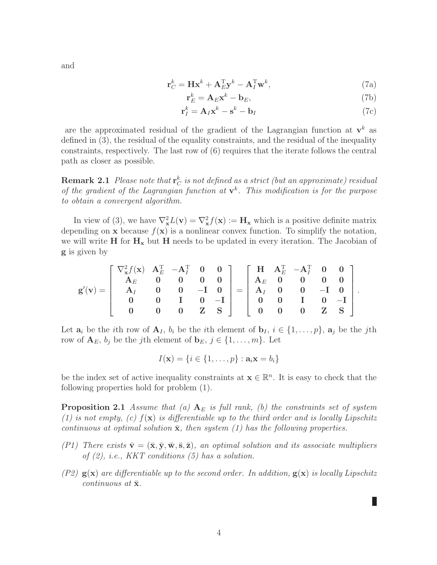$$
\mathbf{r}_C^k = \mathbf{H}\mathbf{x}^k + \mathbf{A}_E^{\mathrm{T}}\mathbf{y}^k - \mathbf{A}_I^{\mathrm{T}}\mathbf{w}^k, \tag{7a}
$$

$$
\mathbf{r}_E^k = \mathbf{A}_E \mathbf{x}^k - \mathbf{b}_E,\tag{7b}
$$

$$
\mathbf{r}_I^k = \mathbf{A}_I \mathbf{x}^k - \mathbf{s}^k - \mathbf{b}_I \tag{7c}
$$

are the approximated residual of the gradient of the Lagrangian function at  $\mathbf{v}^k$  as defined in (3), the residual of the equality constraints, and the residual of the inequality constraints, respectively. The last row of (6) requires that the iterate follows the central path as closer as possible.

**Remark 2.1** Please note that  $\mathbf{r}_C^k$  is not defined as a strict (but an approximate) residual of the gradient of the Lagrangian function at  $v^k$ . This modification is for the purpose to obtain a convergent algorithm.

In view of (3), we have  $\nabla_{\mathbf{x}}^2 L(\mathbf{v}) = \nabla_{\mathbf{x}}^2 f(\mathbf{x}) := \mathbf{H}_{\mathbf{x}}$  which is a positive definite matrix depending on **x** because  $f(\mathbf{x})$  is a nonlinear convex function. To simplify the notation, we will write  $H$  for  $H_x$  but  $H$  needs to be updated in every iteration. The Jacobian of g is given by

$$
\mathbf{g}'(v)=\left[\begin{array}{cccc} \nabla_x^2 f(\mathbf{x}) & \mathbf{A}_E^{\mathrm{T}} & -\mathbf{A}_I^{\mathrm{T}} & \mathbf{0} & \mathbf{0} \\ \mathbf{A}_E & \mathbf{0} & \mathbf{0} & \mathbf{0} & \mathbf{0} \\ \mathbf{A}_I & \mathbf{0} & \mathbf{0} & -\mathbf{I} & \mathbf{0} \\ \mathbf{0} & \mathbf{0} & \mathbf{I} & \mathbf{0} & -\mathbf{I} \\ \mathbf{0} & \mathbf{0} & \mathbf{0} & \mathbf{Z} & \mathbf{S} \end{array}\right]=\left[\begin{array}{cccc} \mathbf{H} & \mathbf{A}_E^{\mathrm{T}} & -\mathbf{A}_I^{\mathrm{T}} & \mathbf{0} & \mathbf{0} \\ \mathbf{A}_E & \mathbf{0} & \mathbf{0} & \mathbf{0} & \mathbf{0} \\ \mathbf{A}_I & \mathbf{0} & \mathbf{0} & -\mathbf{I} & \mathbf{0} \\ \mathbf{0} & \mathbf{0} & \mathbf{I} & \mathbf{0} & -\mathbf{I} \\ \mathbf{0} & \mathbf{0} & \mathbf{0} & \mathbf{Z} & \mathbf{S} \end{array}\right].
$$

Let  $\mathbf{a}_i$  be the ith row of  $\mathbf{A}_I$ ,  $b_i$  be the ith element of  $\mathbf{b}_I$ ,  $i \in \{1, \ldots, p\}$ ,  $\mathbf{a}_j$  be the jth row of  $\mathbf{A}_E$ ,  $b_j$  be the j<sup>th</sup> element of  $\mathbf{b}_E$ ,  $j \in \{1, \ldots, m\}$ . Let

$$
I(\mathbf{x}) = \{i \in \{1, \ldots, p\} : \mathbf{a}_i \mathbf{x} = b_i\}
$$

be the index set of active inequality constraints at  $\mathbf{x} \in \mathbb{R}^n$ . It is easy to check that the following properties hold for problem (1).

**Proposition 2.1** Assume that (a)  $A_E$  is full rank, (b) the constraints set of system (1) is not empty, (c)  $f(\mathbf{x})$  is differentiable up to the third order and is locally Lipschitz continuous at optimal solution  $\bar{x}$ , then system (1) has the following properties.

- (P1) There exists  $\bar{\mathbf{v}} = (\bar{\mathbf{x}}, \bar{\mathbf{y}}, \bar{\mathbf{w}}, \bar{\mathbf{s}}, \bar{\mathbf{z}})$ , an optimal solution and its associate multipliers of  $(2)$ , i.e., KKT conditions  $(5)$  has a solution.
- (P2)  $g(x)$  are differentiable up to the second order. In addition,  $g(x)$  is locally Lipschitz continuous at  $\bar{\mathbf{x}}$ .

П

and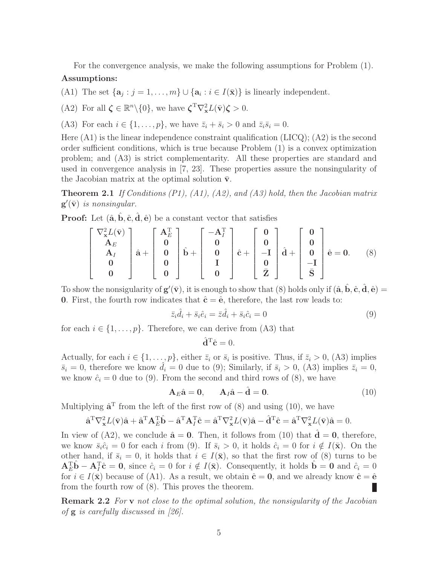For the convergence analysis, we make the following assumptions for Problem (1).

#### Assumptions:

(A1) The set  $\{a_j : j = 1, \ldots, m\} \cup \{a_i : i \in I(\bar{x})\}$  is linearly independent.

(A2) For all  $\boldsymbol{\zeta} \in \mathbb{R}^n \setminus \{0\}$ , we have  $\boldsymbol{\zeta}^{\mathrm{T}} \nabla_{\mathbf{x}}^2 L(\bar{\mathbf{v}}) \boldsymbol{\zeta} > 0$ .

(A3) For each  $i \in \{1,\ldots,p\}$ , we have  $\bar{z}_i + \bar{s}_i > 0$  and  $\bar{z}_i\bar{s}_i = 0$ .

Here  $(A1)$  is the linear independence constraint qualification  $(LICQ)$ ;  $(A2)$  is the second order sufficient conditions, which is true because Problem (1) is a convex optimization problem; and (A3) is strict complementarity. All these properties are standard and used in convergence analysis in [7, 23]. These properties assure the nonsingularity of the Jacobian matrix at the optimal solution  $\bar{v}$ .

**Theorem 2.1** If Conditions  $(P1)$ ,  $(A1)$ ,  $(A2)$ , and  $(A3)$  hold, then the Jacobian matrix  $\mathbf{g}'(\bar{\mathbf{v}})$  is nonsingular.

**Proof:** Let  $(\hat{a}, \hat{b}, \hat{c}, \hat{d}, \hat{e})$  be a constant vector that satisfies

$$
\begin{bmatrix} \nabla_{\mathbf{x}}^{2} L(\bar{\mathbf{v}}) \\ \mathbf{A}_{E} \\ \mathbf{A}_{I} \\ \mathbf{0} \\ \mathbf{0} \end{bmatrix} \hat{\mathbf{a}} + \begin{bmatrix} \mathbf{A}_{E}^{T} \\ \mathbf{0} \\ \mathbf{0} \\ \mathbf{0} \\ \mathbf{0} \end{bmatrix} \hat{\mathbf{b}} + \begin{bmatrix} -\mathbf{A}_{I}^{T} \\ \mathbf{0} \\ \mathbf{0} \\ \mathbf{I} \\ \mathbf{0} \end{bmatrix} \hat{\mathbf{c}} + \begin{bmatrix} \mathbf{0} \\ \mathbf{0} \\ -\mathbf{I} \\ \mathbf{0} \\ \mathbf{Z} \end{bmatrix} \hat{\mathbf{d}} + \begin{bmatrix} \mathbf{0} \\ \mathbf{0} \\ -\mathbf{I} \\ \mathbf{S} \end{bmatrix} \hat{\mathbf{e}} = \mathbf{0}.
$$
 (8)

To show the nonsigularity of  $\mathbf{g}'(\bar{\mathbf{v}})$ , it is enough to show that (8) holds only if  $(\hat{\mathbf{a}}, \hat{\mathbf{b}}, \hat{\mathbf{c}}, \hat{\mathbf{d}}, \hat{\mathbf{e}})$ 0. First, the fourth row indicates that  $\hat{\mathbf{c}} = \hat{\mathbf{e}}$ , therefore, the last row leads to:

$$
\bar{z}_i \hat{d}_i + \bar{s}_i \hat{e}_i = \bar{z} \hat{d}_i + \bar{s}_i \hat{c}_i = 0 \tag{9}
$$

for each  $i \in \{1, \ldots, p\}$ . Therefore, we can derive from (A3) that

$$
\hat{\mathbf{d}}^{\mathrm{T}}\hat{\mathbf{c}}=0.
$$

Actually, for each  $i \in \{1, \ldots, p\}$ , either  $\bar{z}_i$  or  $\bar{s}_i$  is positive. Thus, if  $\bar{z}_i > 0$ , (A3) implies  $\bar{s}_i = 0$ , therefore we know  $\hat{d}_i = 0$  due to (9); Similarly, if  $\bar{s}_i > 0$ , (A3) implies  $\bar{z}_i = 0$ , we know  $\hat{c}_i = 0$  due to (9). From the second and third rows of (8), we have

$$
\mathbf{A}_E \hat{\mathbf{a}} = \mathbf{0}, \qquad \mathbf{A}_I \hat{\mathbf{a}} - \hat{\mathbf{d}} = \mathbf{0}.
$$
 (10)

Multiplying  $\hat{\mathbf{a}}^{\mathrm{T}}$  from the left of the first row of (8) and using (10), we have

$$
\hat{\mathbf{a}}^{\mathrm{T}} \nabla_{\mathbf{x}}^2 L(\bar{\mathbf{v}}) \hat{\mathbf{a}} + \hat{\mathbf{a}}^{\mathrm{T}} \mathbf{A}_{E}^{\mathrm{T}} \hat{\mathbf{b}} - \hat{\mathbf{a}}^{\mathrm{T}} \mathbf{A}_{I}^{\mathrm{T}} \hat{\mathbf{c}} = \hat{\mathbf{a}}^{\mathrm{T}} \nabla_{\mathbf{x}}^2 L(\bar{\mathbf{v}}) \hat{\mathbf{a}} - \hat{\mathbf{d}}^{\mathrm{T}} \hat{\mathbf{c}} = \hat{\mathbf{a}}^{\mathrm{T}} \nabla_{\mathbf{x}}^2 L(\bar{\mathbf{v}}) \hat{\mathbf{a}} = 0.
$$

In view of (A2), we conclude  $\hat{\mathbf{a}} = \mathbf{0}$ . Then, it follows from (10) that  $\mathbf{d} = \mathbf{0}$ , therefore, we know  $\bar{s}_i\hat{c}_i = 0$  for each i from (9). If  $\bar{s}_i > 0$ , it holds  $\hat{c}_i = 0$  for  $i \notin I(\bar{\mathbf{x}})$ . On the other hand, if  $\bar{s}_i = 0$ , it holds that  $i \in I(\bar{x})$ , so that the first row of (8) turns to be  $\mathbf{A}_E^{\mathrm{T}}\hat{\mathbf{b}} - \mathbf{A}_I^{\mathrm{T}}\hat{\mathbf{c}} = \mathbf{0}$ , since  $\hat{c}_i = 0$  for  $i \notin I(\bar{\mathbf{x}})$ . Consequently, it holds  $\hat{\mathbf{b}} = \mathbf{0}$  and  $\hat{c}_i = 0$ for  $i \in I(\bar{x})$  because of (A1). As a result, we obtain  $\hat{c} = 0$ , and we already know  $\hat{c} = \hat{e}$ from the fourth row of (8). This proves the theorem. Н

**Remark 2.2** For v not close to the optimal solution, the nonsigularity of the Jacobian of  $g$  is carefully discussed in [26].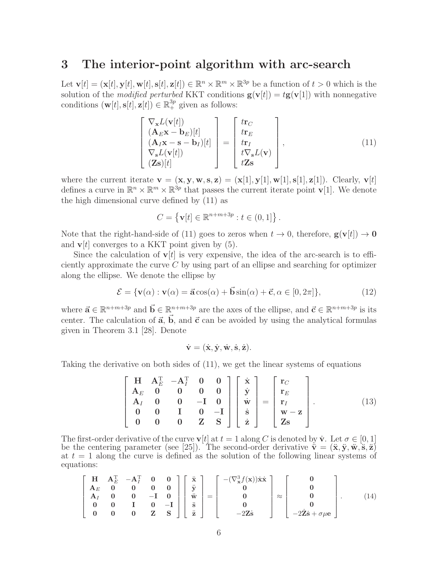# 3 The interior-point algorithm with arc-search

Let  $\mathbf{v}[t] = (\mathbf{x}[t], \mathbf{y}[t], \mathbf{w}[t], \mathbf{s}[t], \mathbf{z}[t]) \in \mathbb{R}^n \times \mathbb{R}^m \times \mathbb{R}^{3p}$  be a function of  $t > 0$  which is the solution of the *modified perturbed* KKT conditions  $\mathbf{g}(\mathbf{v}[t]) = t\mathbf{g}(\mathbf{v}[1])$  with nonnegative conditions  $(\mathbf{w}[t], \mathbf{s}[t], \mathbf{z}[t]) \in \mathbb{R}_+^{3p}$  given as follows:

$$
\begin{bmatrix}\n\nabla_{\mathbf{x}}L(\mathbf{v}[t]) \\
(\mathbf{A}_{E}\mathbf{x} - \mathbf{b}_{E})[t] \\
(\mathbf{A}_{I}\mathbf{x} - \mathbf{s} - \mathbf{b}_{I})[t] \\
\nabla_{\mathbf{s}}L(\mathbf{v}[t]) \\
(\mathbf{Z}\mathbf{s})[t]\n\end{bmatrix} = \begin{bmatrix}\n\mathbf{tr}_{C} \\
\mathbf{tr}_{E} \\
\mathbf{tr}_{I} \\
t\nabla_{\mathbf{s}}L(\mathbf{v}) \\
t\mathbf{Z}\mathbf{s}\n\end{bmatrix},
$$
\n(11)

where the current iterate  $\mathbf{v} = (\mathbf{x}, \mathbf{y}, \mathbf{w}, \mathbf{s}, \mathbf{z}) = (\mathbf{x}[1], \mathbf{y}[1], \mathbf{w}[1], \mathbf{s}[1], \mathbf{z}[1])$ . Clearly,  $\mathbf{v}[t]$ defines a curve in  $\mathbb{R}^n \times \mathbb{R}^m \times \mathbb{R}^{3p}$  that passes the current iterate point  $\mathbf{v}[1]$ . We denote the high dimensional curve defined by (11) as

$$
C = \{ \mathbf{v}[t] \in \mathbb{R}^{n+m+3p} : t \in (0,1] \}.
$$

Note that the right-hand-side of (11) goes to zeros when  $t \to 0$ , therefore,  $\mathbf{g}(\mathbf{v}[t]) \to \mathbf{0}$ and  $\mathbf{v}[t]$  converges to a KKT point given by (5).

Since the calculation of  $v[t]$  is very expensive, the idea of the arc-search is to efficiently approximate the curve  $C$  by using part of an ellipse and searching for optimizer along the ellipse. We denote the ellipse by

$$
\mathcal{E} = \{ \mathbf{v}(\alpha) : \mathbf{v}(\alpha) = \vec{\mathbf{a}}\cos(\alpha) + \vec{\mathbf{b}}\sin(\alpha) + \vec{\mathbf{c}}, \alpha \in [0, 2\pi] \},\tag{12}
$$

where  $\vec{a} \in \mathbb{R}^{n+m+3p}$  and  $\vec{b} \in \mathbb{R}^{n+m+3p}$  are the axes of the ellipse, and  $\vec{c} \in \mathbb{R}^{n+m+3p}$  is its center. The calculation of  $\vec{a}, \vec{b}$ , and  $\vec{c}$  can be avoided by using the analytical formulas given in Theorem 3.1 [28]. Denote

$$
\dot{\mathbf{v}} = (\dot{\mathbf{x}}, \dot{\mathbf{y}}, \dot{\mathbf{w}}, \dot{\mathbf{s}}, \dot{\mathbf{z}}).
$$

Taking the derivative on both sides of (11), we get the linear systems of equations

$$
\begin{bmatrix}\nH & A_E^T & -A_I^T & 0 & 0 \\
A_E & 0 & 0 & 0 & 0 \\
A_I & 0 & 0 & -I & 0 \\
0 & 0 & I & 0 & -I \\
0 & 0 & 0 & Z & S\n\end{bmatrix}\n\begin{bmatrix}\n\dot{x} \\
\dot{y} \\
\dot{w} \\
\dot{s} \\
\dot{z}\n\end{bmatrix} =\n\begin{bmatrix}\nr_C \\
r_E \\
r_I \\
w - z \\
Z_S\n\end{bmatrix}.
$$
\n(13)

The first-order derivative of the curve  $\mathbf{v}[t]$  at  $t = 1$  along C is denoted by  $\dot{\mathbf{v}}$ . Let  $\sigma \in [0, 1]$ be the centering parameter (see [25]). The second-order derivative  $\ddot{\mathbf{v}} = (\ddot{\mathbf{x}}, \ddot{\mathbf{y}}, \ddot{\mathbf{w}}, \ddot{\mathbf{s}}, \ddot{\mathbf{z}})$ at  $t = 1$  along the curve is defined as the solution of the following linear systems of equations:

$$
\begin{bmatrix}\nH & A_E^T & -A_I^T & 0 & 0 \\
A_E & 0 & 0 & 0 & 0 \\
A_I & 0 & 0 & -I & 0 \\
0 & 0 & I & 0 & -I \\
0 & 0 & 0 & Z & S\n\end{bmatrix}\n\begin{bmatrix}\n\ddot{x} \\
\ddot{y} \\
\ddot{w} \\
\ddot{z}\n\end{bmatrix} =\n\begin{bmatrix}\n-(\nabla_x^3 f(x))\dot{x}\dot{x} \\
0 \\
0 \\
0 \\
-2Z\dot{s}\n\end{bmatrix} \approx\n\begin{bmatrix}\n0 \\
0 \\
0 \\
0 \\
-2\dot{z}\dot{s} + \sigma\mu e\n\end{bmatrix}.
$$
\n(14)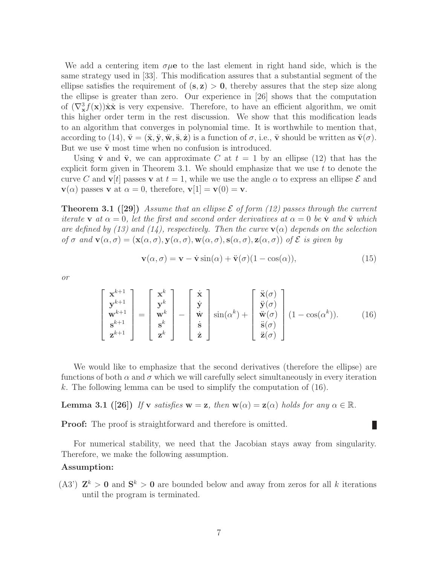We add a centering item  $\sigma\mu$ e to the last element in right hand side, which is the same strategy used in [33]. This modification assures that a substantial segment of the ellipse satisfies the requirement of  $(s, z) > 0$ , thereby assures that the step size along the ellipse is greater than zero. Our experience in [26] shows that the computation of  $(\nabla^3_{\mathbf{x}} f(\mathbf{x})) \dot{\mathbf{x}}$  is very expensive. Therefore, to have an efficient algorithm, we omit this higher order term in the rest discussion. We show that this modification leads to an algorithm that converges in polynomial time. It is worthwhile to mention that, according to (14),  $\ddot{\mathbf{v}} = (\ddot{\mathbf{x}}, \ddot{\mathbf{y}}, \ddot{\mathbf{w}}, \ddot{\mathbf{s}}, \dot{\mathbf{z}})$  is a function of  $\sigma$ , i.e.,  $\ddot{\mathbf{v}}$  should be written as  $\ddot{\mathbf{v}}(\sigma)$ . But we use  $\ddot{\mathbf{v}}$  most time when no confusion is introduced.

Using  $\dot{v}$  and  $\ddot{v}$ , we can approximate C at  $t = 1$  by an ellipse (12) that has the explicit form given in Theorem 3.1. We should emphasize that we use  $t$  to denote the curve C and  $\mathbf{v}[t]$  passes v at  $t = 1$ , while we use the angle  $\alpha$  to express an ellipse  $\mathcal E$  and  $\mathbf{v}(\alpha)$  passes **v** at  $\alpha = 0$ , therefore,  $\mathbf{v}[1] = \mathbf{v}(0) = \mathbf{v}$ .

**Theorem 3.1 ([29])** Assume that an ellipse  $\mathcal E$  of form (12) passes through the current iterate **v** at  $\alpha = 0$ , let the first and second order derivatives at  $\alpha = 0$  be **v** and **v** which are defined by (13) and (14), respectively. Then the curve  $\mathbf{v}(\alpha)$  depends on the selection of  $\sigma$  and  $\mathbf{v}(\alpha, \sigma) = (\mathbf{x}(\alpha, \sigma), \mathbf{y}(\alpha, \sigma), \mathbf{w}(\alpha, \sigma), \mathbf{s}(\alpha, \sigma), \mathbf{z}(\alpha, \sigma))$  of  $\mathcal E$  is given by

$$
\mathbf{v}(\alpha, \sigma) = \mathbf{v} - \dot{\mathbf{v}} \sin(\alpha) + \ddot{\mathbf{v}}(\sigma)(1 - \cos(\alpha)), \tag{15}
$$

L

or

$$
\begin{bmatrix} \mathbf{x}^{k+1} \\ \mathbf{y}^{k+1} \\ \mathbf{w}^{k+1} \\ \mathbf{s}^{k+1} \\ \mathbf{z}^{k+1} \end{bmatrix} = \begin{bmatrix} \mathbf{x}^{k} \\ \mathbf{y}^{k} \\ \mathbf{w}^{k} \\ \mathbf{s}^{k} \\ \mathbf{z}^{k} \end{bmatrix} - \begin{bmatrix} \dot{\mathbf{x}} \\ \dot{\mathbf{y}} \\ \dot{\mathbf{w}} \\ \dot{\mathbf{s}} \\ \dot{\mathbf{z}} \end{bmatrix} \sin(\alpha^{k}) + \begin{bmatrix} \ddot{\mathbf{x}}(\sigma) \\ \ddot{\mathbf{y}}(\sigma) \\ \ddot{\mathbf{w}}(\sigma) \\ \ddot{\mathbf{s}}(\sigma) \end{bmatrix} (1 - \cos(\alpha^{k})). \quad (16)
$$

We would like to emphasize that the second derivatives (therefore the ellipse) are functions of both  $\alpha$  and  $\sigma$  which we will carefully select simultaneously in every iteration k. The following lemma can be used to simplify the computation of  $(16)$ .

**Lemma 3.1** ([26]) If v satisfies  $w = z$ , then  $w(\alpha) = z(\alpha)$  holds for any  $\alpha \in \mathbb{R}$ .

**Proof:** The proof is straightforward and therefore is omitted.

For numerical stability, we need that the Jacobian stays away from singularity. Therefore, we make the following assumption.

#### Assumption:

(A3')  $\mathbb{Z}^k > 0$  and  $\mathbb{S}^k > 0$  are bounded below and away from zeros for all k iterations until the program is terminated.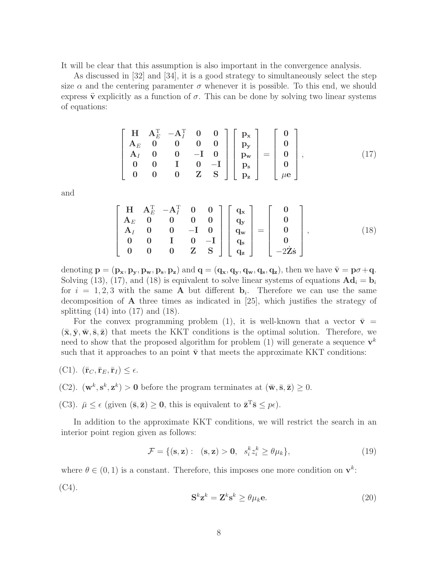It will be clear that this assumption is also important in the convergence analysis.

As discussed in [32] and [34], it is a good strategy to simultaneously select the step size  $\alpha$  and the centering paramenter  $\sigma$  whenever it is possible. To this end, we should express  $\ddot{\mathbf{v}}$  explicitly as a function of  $\sigma$ . This can be done by solving two linear systems of equations:

$$
\begin{bmatrix}\nH & A_E^T & -A_I^T & 0 & 0 \\
A_E & 0 & 0 & 0 & 0 \\
A_I & 0 & 0 & -I & 0 \\
0 & 0 & I & 0 & -I \\
0 & 0 & 0 & Z & S\n\end{bmatrix}\n\begin{bmatrix}\np_x \\
p_y \\
p_w \\
p_s\n\end{bmatrix} =\n\begin{bmatrix}\n0 \\
0 \\
0 \\
0 \\
\mu e\n\end{bmatrix},
$$
\n(17)

and

$$
\begin{bmatrix}\nH & A_E^T & -A_I^T & 0 & 0 \\
A_E & 0 & 0 & 0 & 0 \\
A_I & 0 & 0 & -I & 0 \\
0 & 0 & I & 0 & -I \\
0 & 0 & 0 & Z & S\n\end{bmatrix}\n\begin{bmatrix}\nq_x \\
q_y \\
q_w \\
q_z\n\end{bmatrix} =\n\begin{bmatrix}\n0 \\
0 \\
0 \\
0 \\
-2\dot{Z}\dot{s}\n\end{bmatrix},
$$
\n(18)

denoting  $\mathbf{p} = (\mathbf{p_x}, \mathbf{p_y}, \mathbf{p_w}, \mathbf{p_z})$  and  $\mathbf{q} = (\mathbf{q_x}, \mathbf{q_y}, \mathbf{q_w}, \mathbf{q_z})$ , then we have  $\ddot{\mathbf{v}} = \mathbf{p}\sigma + \mathbf{q}$ . Solving (13), (17), and (18) is equivalent to solve linear systems of equations  $\mathbf{A}\mathbf{d}_i = \mathbf{b}_i$ for  $i = 1, 2, 3$  with the same **A** but different **b**<sub>i</sub>. Therefore we can use the same decomposition of A three times as indicated in [25], which justifies the strategy of splitting  $(14)$  into  $(17)$  and  $(18)$ .

For the convex programming problem (1), it is well-known that a vector  $\bar{\mathbf{v}} =$  $(\bar{\mathbf{x}}, \bar{\mathbf{y}}, \bar{\mathbf{w}}, \bar{\mathbf{s}}, \bar{\mathbf{z}})$  that meets the KKT conditions is the optimal solution. Therefore, we need to show that the proposed algorithm for problem (1) will generate a sequence  $\mathbf{v}^k$ such that it approaches to an point  $\bar{v}$  that meets the approximate KKT conditions:

$$
(\mathrm{C1}).\ \ (\bar{\mathbf{r}}_C,\bar{\mathbf{r}}_E,\bar{\mathbf{r}}_I)\leq \epsilon.
$$

(C2).  $(\mathbf{w}^k, \mathbf{s}^k, \mathbf{z}^k) > \mathbf{0}$  before the program terminates at  $(\bar{\mathbf{w}}, \bar{\mathbf{s}}, \bar{\mathbf{z}}) \geq 0$ .

(C3).  $\bar{\mu} \leq \epsilon$  (given  $(\bar{\mathbf{s}}, \bar{\mathbf{z}}) \geq \mathbf{0}$ , this is equivalent to  $\bar{\mathbf{z}}^T \bar{\mathbf{s}} \leq p\epsilon$ ).

In addition to the approximate KKT conditions, we will restrict the search in an interior point region given as follows:

$$
\mathcal{F} = \{ (\mathbf{s}, \mathbf{z}) : (\mathbf{s}, \mathbf{z}) > \mathbf{0}, s_i^k z_i^k \ge \theta \mu_k \},\tag{19}
$$

where  $\theta \in (0, 1)$  is a constant. Therefore, this imposes one more condition on  $\mathbf{v}^k$ :  $(C4)$ .

$$
\mathbf{S}^k \mathbf{z}^k = \mathbf{Z}^k \mathbf{s}^k \ge \theta \mu_k \mathbf{e}.
$$
 (20)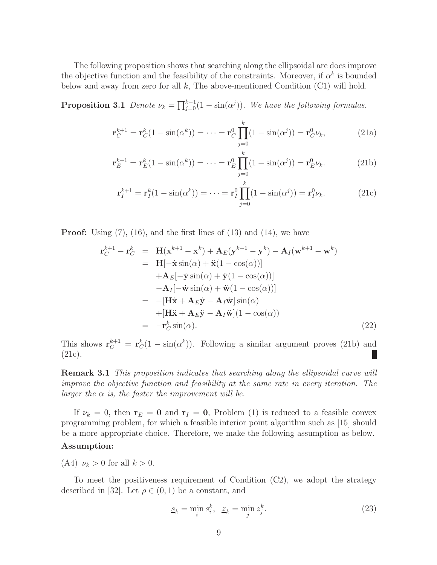The following proposition shows that searching along the ellipsoidal arc does improve the objective function and the feasibility of the constraints. Moreover, if  $\alpha^k$  is bounded below and away from zero for all  $k$ , The above-mentioned Condition (C1) will hold.

**Proposition 3.1** Denote  $\nu_k = \prod_{j=0}^{k-1} (1 - \sin(\alpha^j))$ . We have the following formulas.

$$
\mathbf{r}_{C}^{k+1} = \mathbf{r}_{C}^{k}(1 - \sin(\alpha^{k})) = \dots = \mathbf{r}_{C}^{0} \prod_{j=0}^{k} (1 - \sin(\alpha^{j})) = \mathbf{r}_{C}^{0} \nu_{k}, \qquad (21a)
$$

$$
\mathbf{r}_{E}^{k+1} = \mathbf{r}_{E}^{k}(1 - \sin(\alpha^{k})) = \dots = \mathbf{r}_{E}^{0} \prod_{j=0}^{k} (1 - \sin(\alpha^{j})) = \mathbf{r}_{E}^{0} \nu_{k}.
$$
 (21b)

$$
\mathbf{r}_{I}^{k+1} = \mathbf{r}_{I}^{k}(1 - \sin(\alpha^{k})) = \dots = \mathbf{r}_{I}^{0} \prod_{j=0}^{k} (1 - \sin(\alpha^{j})) = \mathbf{r}_{I}^{0} \nu_{k}.
$$
 (21c)

**Proof:** Using  $(7)$ ,  $(16)$ , and the first lines of  $(13)$  and  $(14)$ , we have

$$
\mathbf{r}_{C}^{k+1} - \mathbf{r}_{C}^{k} = \mathbf{H}(\mathbf{x}^{k+1} - \mathbf{x}^{k}) + \mathbf{A}_{E}(\mathbf{y}^{k+1} - \mathbf{y}^{k}) - \mathbf{A}_{I}(\mathbf{w}^{k+1} - \mathbf{w}^{k})
$$
  
\n
$$
= \mathbf{H}[-\dot{\mathbf{x}}\sin(\alpha) + \ddot{\mathbf{x}}(1 - \cos(\alpha))]
$$
  
\n
$$
+ \mathbf{A}_{E}[-\dot{\mathbf{y}}\sin(\alpha) + \ddot{\mathbf{y}}(1 - \cos(\alpha))]
$$
  
\n
$$
- \mathbf{A}_{I}[-\dot{\mathbf{w}}\sin(\alpha) + \ddot{\mathbf{w}}(1 - \cos(\alpha))]
$$
  
\n
$$
= -[\mathbf{H}\dot{\mathbf{x}} + \mathbf{A}_{E}\dot{\mathbf{y}} - \mathbf{A}_{I}\dot{\mathbf{w}}]\sin(\alpha)
$$
  
\n
$$
+[\mathbf{H}\ddot{\mathbf{x}} + \mathbf{A}_{E}\ddot{\mathbf{y}} - \mathbf{A}_{I}\ddot{\mathbf{w}}](1 - \cos(\alpha))
$$
  
\n
$$
= -\mathbf{r}_{C}^{k}\sin(\alpha).
$$
 (22)

This shows  $\mathbf{r}_{C}^{k+1} = \mathbf{r}_{C}^{k}(1 - \sin(\alpha^{k}))$ . Following a similar argument proves (21b) and (21c). Ш

**Remark 3.1** This proposition indicates that searching along the ellipsoidal curve will improve the objective function and feasibility at the same rate in every iteration. The larger the  $\alpha$  is, the faster the improvement will be.

If  $\nu_k = 0$ , then  $\mathbf{r}_E = \mathbf{0}$  and  $\mathbf{r}_I = \mathbf{0}$ , Problem (1) is reduced to a feasible convex programming problem, for which a feasible interior point algorithm such as [15] should be a more appropriate choice. Therefore, we make the following assumption as below.

### Assumption:

(A4)  $\nu_k > 0$  for all  $k > 0$ .

To meet the positiveness requirement of Condition  $(C2)$ , we adopt the strategy described in [32]. Let  $\rho \in (0,1)$  be a constant, and

$$
\underline{s}_k = \min_i s_i^k, \quad \underline{z}_k = \min_j z_j^k. \tag{23}
$$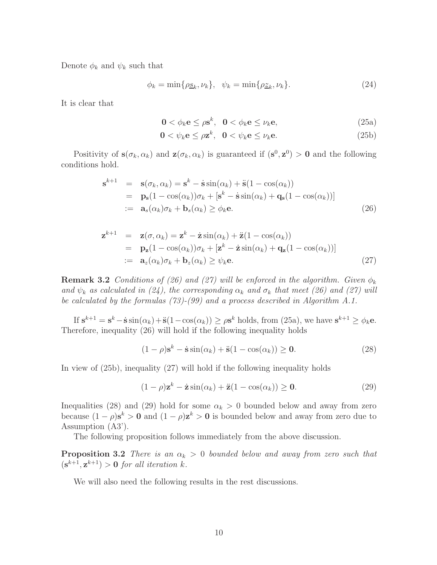Denote  $\phi_k$  and  $\psi_k$  such that

$$
\phi_k = \min\{\rho_{\mathcal{S}_k}, \nu_k\}, \quad \psi_k = \min\{\rho_{\mathcal{Z}_k}, \nu_k\}.\tag{24}
$$

It is clear that

$$
\mathbf{0} < \phi_k \mathbf{e} \le \rho \mathbf{s}^k, \ \ \mathbf{0} < \phi_k \mathbf{e} \le \nu_k \mathbf{e}, \tag{25a}
$$

$$
\mathbf{0} < \psi_k \mathbf{e} \le \rho \mathbf{z}^k, \quad \mathbf{0} < \psi_k \mathbf{e} \le \nu_k \mathbf{e}. \tag{25b}
$$

Positivity of  $s(\sigma_k, \alpha_k)$  and  $z(\sigma_k, \alpha_k)$  is guaranteed if  $(s^0, z^0) > 0$  and the following conditions hold.

$$
\mathbf{s}^{k+1} = \mathbf{s}(\sigma_k, \alpha_k) = \mathbf{s}^k - \dot{\mathbf{s}} \sin(\alpha_k) + \ddot{\mathbf{s}}(1 - \cos(\alpha_k)) \n= \mathbf{p}_s(1 - \cos(\alpha_k))\sigma_k + [\mathbf{s}^k - \dot{\mathbf{s}} \sin(\alpha_k) + \mathbf{q}_s(1 - \cos(\alpha_k))] \n:= \mathbf{a}_s(\alpha_k)\sigma_k + \mathbf{b}_s(\alpha_k) \ge \phi_k \mathbf{e}.
$$
\n(26)

$$
\mathbf{z}^{k+1} = \mathbf{z}(\sigma, \alpha_k) = \mathbf{z}^k - \dot{\mathbf{z}} \sin(\alpha_k) + \ddot{\mathbf{z}} (1 - \cos(\alpha_k))
$$
  
\n
$$
= \mathbf{p}_\mathbf{z} (1 - \cos(\alpha_k)) \sigma_k + [\mathbf{z}^k - \dot{\mathbf{z}} \sin(\alpha_k) + \mathbf{q}_\mathbf{z} (1 - \cos(\alpha_k))]
$$
  
\n
$$
:= \mathbf{a}_z(\alpha_k) \sigma_k + \mathbf{b}_z(\alpha_k) \ge \psi_k \mathbf{e}.
$$
 (27)

**Remark 3.2** Conditions of (26) and (27) will be enforced in the algorithm. Given  $\phi_k$ and  $\psi_k$  as calculated in (24), the corresponding  $\alpha_k$  and  $\sigma_k$  that meet (26) and (27) will be calculated by the formulas (73)-(99) and a process described in Algorithm A.1.

If  $s^{k+1} = s^k - \dot{s} \sin(\alpha_k) + \ddot{s}(1 - \cos(\alpha_k)) \ge \rho s^k$  holds, from (25a), we have  $s^{k+1} \ge \phi_k e$ . Therefore, inequality (26) will hold if the following inequality holds

$$
(1 - \rho)\mathbf{s}^k - \dot{\mathbf{s}}\sin(\alpha_k) + \ddot{\mathbf{s}}(1 - \cos(\alpha_k)) \ge \mathbf{0}.\tag{28}
$$

In view of (25b), inequality (27) will hold if the following inequality holds

$$
(1 - \rho)\mathbf{z}^k - \dot{\mathbf{z}}\sin(\alpha_k) + \ddot{\mathbf{z}}(1 - \cos(\alpha_k)) \ge \mathbf{0}.\tag{29}
$$

Inequalities (28) and (29) hold for some  $\alpha_k > 0$  bounded below and away from zero because  $(1 - \rho)s^k > 0$  and  $(1 - \rho)z^k > 0$  is bounded below and away from zero due to Assumption (A3').

The following proposition follows immediately from the above discussion.

**Proposition 3.2** There is an  $\alpha_k > 0$  bounded below and away from zero such that  $(\mathbf{s}^{k+1}, \mathbf{z}^{k+1}) > \mathbf{0}$  for all iteration k.

We will also need the following results in the rest discussions.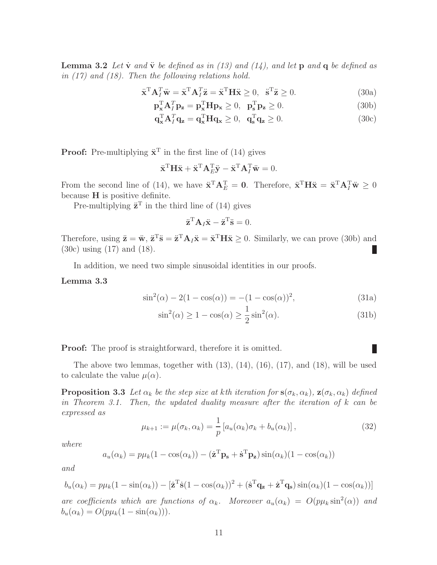**Lemma 3.2** Let  $\dot{v}$  and  $\ddot{v}$  be defined as in (13) and (14), and let  $p$  and  $q$  be defined as in (17) and (18). Then the following relations hold.

$$
\ddot{\mathbf{x}}^{\mathrm{T}} \mathbf{A}_I^T \ddot{\mathbf{w}} = \ddot{\mathbf{x}}^{\mathrm{T}} \mathbf{A}_I^T \ddot{\mathbf{z}} = \ddot{\mathbf{x}}^{\mathrm{T}} \mathbf{H} \ddot{\mathbf{x}} \ge 0, \quad \ddot{\mathbf{s}}^{\mathrm{T}} \ddot{\mathbf{z}} \ge 0. \tag{30a}
$$

$$
\mathbf{p}_{\mathbf{x}}^{\mathrm{T}} \mathbf{A}_{I}^{T} \mathbf{p}_{\mathbf{z}} = \mathbf{p}_{\mathbf{x}}^{\mathrm{T}} \mathbf{H} \mathbf{p}_{\mathbf{x}} \ge 0, \ \mathbf{p}_{\mathbf{s}}^{\mathrm{T}} \mathbf{p}_{\mathbf{z}} \ge 0. \tag{30b}
$$

$$
\mathbf{q}_{\mathbf{x}}^{\mathrm{T}} \mathbf{A}_{I}^{T} \mathbf{q}_{\mathbf{z}} = \mathbf{q}_{\mathbf{x}}^{\mathrm{T}} \mathbf{H} \mathbf{q}_{\mathbf{x}} \ge 0, \quad \mathbf{q}_{\mathbf{s}}^{\mathrm{T}} \mathbf{q}_{\mathbf{z}} \ge 0. \tag{30c}
$$

**Proof:** Pre-multiplying  $\ddot{\mathbf{x}}^T$  in the first line of (14) gives

$$
\ddot{\mathbf{x}}^{\mathrm{T}} \mathbf{H} \ddot{\mathbf{x}} + \ddot{\mathbf{x}}^{\mathrm{T}} \mathbf{A}_{E}^{\mathrm{T}} \ddot{\mathbf{y}} - \ddot{\mathbf{x}}^{\mathrm{T}} \mathbf{A}_{I}^{\mathrm{T}} \ddot{\mathbf{w}} = 0.
$$

From the second line of (14), we have  $\ddot{\mathbf{x}}^{\mathrm{T}} \mathbf{A}_{E}^{\mathrm{T}} = \mathbf{0}$ . Therefore,  $\ddot{\mathbf{x}}^{\mathrm{T}} \mathbf{H} \ddot{\mathbf{x}} = \ddot{\mathbf{x}}^{\mathrm{T}} \mathbf{A}_{I}^{\mathrm{T}} \ddot{\mathbf{w}} \geq 0$ because H is positive definite.

Pre-multiplying  $\ddot{\mathbf{z}}^T$  in the third line of (14) gives

$$
\ddot{\mathbf{z}}^{\mathrm{T}} \mathbf{A}_I \ddot{\mathbf{x}} - \ddot{\mathbf{z}}^{\mathrm{T}} \ddot{\mathbf{s}} = 0.
$$

Therefore, using  $\ddot{\mathbf{z}} = \ddot{\mathbf{w}}, \ddot{\mathbf{z}}^{\mathrm{T}} \ddot{\mathbf{s}} = \ddot{\mathbf{z}}^{\mathrm{T}} \mathbf{A}_I \ddot{\mathbf{x}} = \ddot{\mathbf{x}}^{\mathrm{T}} \mathbf{H} \ddot{\mathbf{x}} \geq 0$ . Similarly, we can prove (30b) and (30c) using (17) and (18). L

In addition, we need two simple sinusoidal identities in our proofs.

#### Lemma 3.3

$$
\sin^2(\alpha) - 2(1 - \cos(\alpha)) = -(1 - \cos(\alpha))^2,
$$
\n(31a)

$$
\sin^2(\alpha) \ge 1 - \cos(\alpha) \ge \frac{1}{2}\sin^2(\alpha). \tag{31b}
$$

Proof: The proof is straightforward, therefore it is omitted.

The above two lemmas, together with  $(13)$ ,  $(14)$ ,  $(16)$ ,  $(17)$ , and  $(18)$ , will be used to calculate the value  $\mu(\alpha)$ .

**Proposition 3.3** Let  $\alpha_k$  be the step size at kth iteration for  $s(\sigma_k, \alpha_k)$ ,  $z(\sigma_k, \alpha_k)$  defined in Theorem 3.1. Then, the updated duality measure after the iteration of  $k$  can be expressed as

$$
\mu_{k+1} := \mu(\sigma_k, \alpha_k) = \frac{1}{p} \left[ a_u(\alpha_k) \sigma_k + b_u(\alpha_k) \right],\tag{32}
$$

where

$$
a_u(\alpha_k) = p\mu_k(1 - \cos(\alpha_k)) - (\dot{\mathbf{z}}^T \mathbf{p_s} + \dot{\mathbf{s}}^T \mathbf{p_z})\sin(\alpha_k)(1 - \cos(\alpha_k))
$$

and

$$
b_u(\alpha_k) = p\mu_k(1 - \sin(\alpha_k)) - [\dot{\mathbf{z}}^T \dot{\mathbf{s}} (1 - \cos(\alpha_k))^2 + (\dot{\mathbf{s}}^T \mathbf{q_z} + \dot{\mathbf{z}}^T \mathbf{q_s}) \sin(\alpha_k)(1 - \cos(\alpha_k))]
$$

are coefficients which are functions of  $\alpha_k$ . Moreover  $a_u(\alpha_k) = O(p\mu_k \sin^2(\alpha))$  and  $b_u(\alpha_k) = O(p\mu_k(1 - \sin(\alpha_k))).$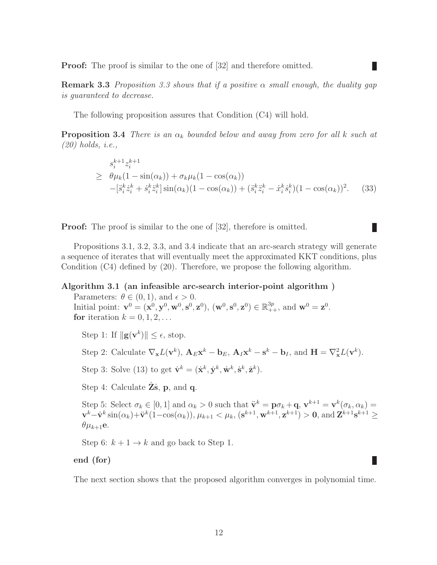**Proof:** The proof is similar to the one of [32] and therefore omitted.

**Remark 3.3** Proposition 3.3 shows that if a positive  $\alpha$  small enough, the duality gap is guaranteed to decrease.

The following proposition assures that Condition (C4) will hold.

**Proposition 3.4** There is an  $\alpha_k$  bounded below and away from zero for all k such at (20) holds, i.e.,

$$
s_i^{k+1} z_i^{k+1}
$$
  
\n
$$
\geq \theta \mu_k (1 - \sin(\alpha_k)) + \sigma_k \mu_k (1 - \cos(\alpha_k))
$$
  
\n
$$
- [\ddot{s}_i^k \dot{z}_i^k + \dot{s}_i^k \ddot{z}_i^k] \sin(\alpha_k) (1 - \cos(\alpha_k)) + (\ddot{s}_i^k \ddot{z}_i^k - \dot{x}_i^k \dot{s}_i^k) (1 - \cos(\alpha_k))^2.
$$
 (33)

П

Ш

**Proof:** The proof is similar to the one of [32], therefore is omitted.

Propositions 3.1, 3.2, 3.3, and 3.4 indicate that an arc-search strategy will generate a sequence of iterates that will eventually meet the approximated KKT conditions, plus Condition (C4) defined by (20). Therefore, we propose the following algorithm.

#### Algorithm 3.1 (an infeasible arc-search interior-point algorithm )

Parameters:  $\theta \in (0, 1)$ , and  $\epsilon > 0$ . Initial point:  $\mathbf{v}^0 = (\mathbf{x}^0, \mathbf{y}^0, \mathbf{w}^0, \mathbf{s}^0, \mathbf{z}^0), (\mathbf{w}^0, \mathbf{s}^0, \mathbf{z}^0) \in \mathbb{R}_{++}^{3p}$ , and  $\mathbf{w}^0 = \mathbf{z}^0$ . for iteration  $k = 0, 1, 2, \ldots$ 

Step 1: If  $\|\mathbf{g}(\mathbf{v}^k)\| \leq \epsilon$ , stop.

Step 2: Calculate  $\nabla_{\mathbf{x}}L(\mathbf{v}^k)$ ,  $\mathbf{A}_E\mathbf{x}^k - \mathbf{b}_E$ ,  $\mathbf{A}_I\mathbf{x}^k - \mathbf{s}^k - \mathbf{b}_I$ , and  $\mathbf{H} = \nabla_{\mathbf{x}}^2L(\mathbf{v}^k)$ .

Step 3: Solve (13) to get  $\dot{\mathbf{v}}^k = (\dot{\mathbf{x}}^k, \dot{\mathbf{y}}^k, \dot{\mathbf{w}}^k, \dot{\mathbf{s}}^k, \dot{\mathbf{z}}^k)$ .

Step 4: Calculate  $\mathbf{Z}\dot{\mathbf{s}}$ ,  $\mathbf{p}$ , and  $\mathbf{q}$ .

Step 5: Select  $\sigma_k \in [0,1]$  and  $\alpha_k > 0$  such that  $\ddot{\mathbf{v}}^k = \mathbf{p}\sigma_k + \mathbf{q}$ ,  $\mathbf{v}^{k+1} = \mathbf{v}^k(\sigma_k, \alpha_k) =$  $\mathbf{v}^k - \dot{\mathbf{v}}^k \sin(\alpha_k) + \ddot{\mathbf{v}}^k (1 - \cos(\alpha_k)), \mu_{k+1} < \mu_k, (\mathbf{s}^{k+1}, \mathbf{w}^{k+1}, \mathbf{z}^{k+1}) > 0$ , and  $\mathbf{Z}^{k+1} \mathbf{s}^{k+1} \ge$  $\theta\mu_{k+1}$ e.

Step 6:  $k + 1 \rightarrow k$  and go back to Step 1.

#### end (for)

The next section shows that the proposed algorithm converges in polynomial time.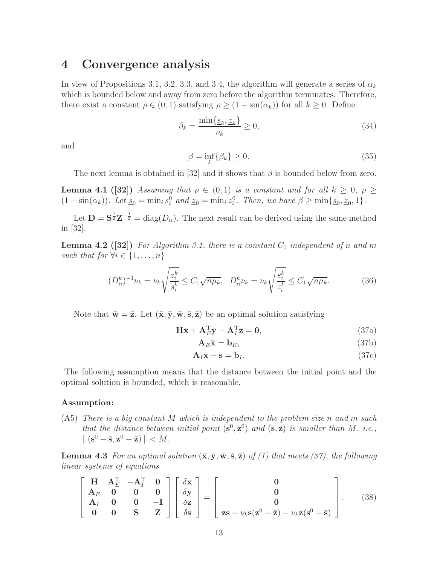# 4 Convergence analysis

In view of Propositions 3.1, 3.2, 3.3, and 3.4, the algorithm will generate a series of  $\alpha_k$ which is bounded below and away from zero before the algorithm terminates. Therefore, there exist a constant  $\rho \in (0,1)$  satisfying  $\rho \geq (1 - \sin(\alpha_k))$  for all  $k \geq 0$ . Define

$$
\beta_k = \frac{\min\{\underline{s}_k, \underline{z}_k\}}{\nu_k} \ge 0,\tag{34}
$$

and

$$
\beta = \inf_{k} \{ \beta_k \} \ge 0. \tag{35}
$$

The next lemma is obtained in [32] and it shows that  $\beta$  is bounded below from zero.

**Lemma 4.1** ([32]) Assuming that  $\rho \in (0,1)$  is a constant and for all  $k \geq 0$ ,  $\rho \geq$  $(1 - \sin(\alpha_k))$ . Let  $\underline{s}_0 = \min_i s_i^0$  and  $\underline{z}_0 = \min_i z_i^0$ . Then, we have  $\beta \ge \min\{\underline{s}_0, \underline{z}_0, 1\}$ .

Let  $\mathbf{D} = \mathbf{S}^{\frac{1}{2}} \mathbf{Z}^{-\frac{1}{2}} = \text{diag}(D_{ii})$ . The next result can be derived using the same method in [32].

**Lemma 4.2** ([32]) For Algorithm 3.1, there is a constant  $C_1$  independent of n and m such that for  $\forall i \in \{1, \ldots, n\}$ 

$$
(D_{ii}^k)^{-1} \nu_k = \nu_k \sqrt{\frac{z_i^k}{s_i^k}} \le C_1 \sqrt{n \mu_k}, \quad D_{ii}^k \nu_k = \nu_k \sqrt{\frac{s_i^k}{z_i^k}} \le C_1 \sqrt{n \mu_k}.
$$
 (36)

Note that  $\bar{\mathbf{w}} = \bar{\mathbf{z}}$ . Let  $(\bar{\mathbf{x}}, \bar{\mathbf{y}}, \bar{\mathbf{w}}, \bar{\mathbf{s}}, \bar{\mathbf{z}})$  be an optimal solution satisfying

$$
\mathbf{H}\bar{\mathbf{x}} + \mathbf{A}_E^{\mathrm{T}}\bar{\mathbf{y}} - \mathbf{A}_I^{\mathrm{T}}\bar{\mathbf{z}} = \mathbf{0},\tag{37a}
$$

$$
\mathbf{A}_E \bar{\mathbf{x}} = \mathbf{b}_E, \tag{37b}
$$

$$
\mathbf{A}_{I}\bar{\mathbf{x}} - \bar{\mathbf{s}} = \mathbf{b}_{I}.\tag{37c}
$$

The following assumption means that the distance between the initial point and the optimal solution is bounded, which is reasonable.

#### Assumption:

(A5) There is a big constant M which is independent to the problem size n and m such that the distance between initial point  $(s^0, z^0)$  and  $(\bar{s}, \bar{z})$  is smaller than M, i.e.,  $\Vert (\mathbf{s}^0 - \bar{\mathbf{s}}, \mathbf{z}^0 - \bar{\mathbf{z}}) \Vert < M.$ 

**Lemma 4.3** For an optimal solution  $(\bar{\mathbf{x}}, \bar{\mathbf{y}}, \bar{\mathbf{w}}, \bar{\mathbf{s}}, \bar{\mathbf{z}})$  of (1) that meets (37), the following linear systems of equations

$$
\begin{bmatrix}\nH & A_E^T & -A_I^T & 0 \\
A_E & 0 & 0 & 0 \\
A_I & 0 & 0 & -I \\
0 & 0 & S & Z\n\end{bmatrix}\n\begin{bmatrix}\n\delta x \\
\delta y \\
\delta z \\
\delta s\n\end{bmatrix} =\n\begin{bmatrix}\n0 \\
0 \\
0 \\
0 \\
z s - \nu_k s (z^0 - \bar{z}) - \nu_k z (s^0 - \bar{s})\n\end{bmatrix}.
$$
\n(38)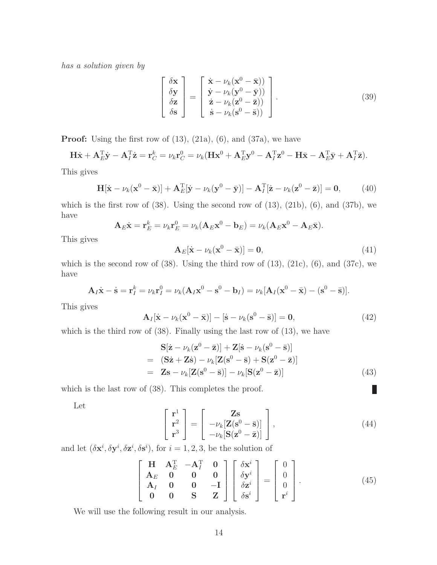has a solution given by

$$
\begin{bmatrix}\n\delta \mathbf{x} \\
\delta \mathbf{y} \\
\delta \mathbf{z} \\
\delta \mathbf{s}\n\end{bmatrix} = \begin{bmatrix}\n\dot{\mathbf{x}} - \nu_k(\mathbf{x}^0 - \bar{\mathbf{x}})) \\
\dot{\mathbf{y}} - \nu_k(\mathbf{y}^0 - \bar{\mathbf{y}})) \\
\dot{\mathbf{z}} - \nu_k(\mathbf{z}^0 - \bar{\mathbf{z}})) \\
\dot{\mathbf{s}} - \nu_k(\mathbf{s}^0 - \bar{\mathbf{s}}))\n\end{bmatrix}.
$$
\n(39)

**Proof:** Using the first row of  $(13)$ ,  $(21a)$ ,  $(6)$ , and  $(37a)$ , we have

$$
\mathbf{H}\dot{\mathbf{x}} + \mathbf{A}_E^{\mathrm{T}}\dot{\mathbf{y}} - \mathbf{A}_I^{\mathrm{T}}\dot{\mathbf{z}} = \mathbf{r}_C^k = \nu_k \mathbf{r}_C^0 = \nu_k (\mathbf{H}\mathbf{x}^0 + \mathbf{A}_E^{\mathrm{T}}\mathbf{y}^0 - \mathbf{A}_I^{\mathrm{T}}\mathbf{z}^0 - \mathbf{H}\bar{\mathbf{x}} - \mathbf{A}_E^{\mathrm{T}}\bar{\mathbf{y}} + \mathbf{A}_I^{\mathrm{T}}\bar{\mathbf{z}}).
$$

This gives

$$
\mathbf{H}[\dot{\mathbf{x}} - \nu_k(\mathbf{x}^0 - \bar{\mathbf{x}})] + \mathbf{A}_E^{\mathrm{T}}[\dot{\mathbf{y}} - \nu_k(\mathbf{y}^0 - \bar{\mathbf{y}})] - \mathbf{A}_I^{\mathrm{T}}[\dot{\mathbf{z}} - \nu_k(\mathbf{z}^0 - \bar{\mathbf{z}})] = \mathbf{0},\tag{40}
$$

which is the first row of  $(38)$ . Using the second row of  $(13)$ ,  $(21b)$ ,  $(6)$ , and  $(37b)$ , we have

$$
\mathbf{A}_E \dot{\mathbf{x}} = \mathbf{r}_E^k = \nu_k \mathbf{r}_E^0 = \nu_k (\mathbf{A}_E \mathbf{x}^0 - \mathbf{b}_E) = \nu_k (\mathbf{A}_E \mathbf{x}^0 - \mathbf{A}_E \bar{\mathbf{x}}).
$$

This gives

$$
\mathbf{A}_E[\dot{\mathbf{x}} - \nu_k(\mathbf{x}^0 - \bar{\mathbf{x}})] = \mathbf{0},\tag{41}
$$

which is the second row of  $(38)$ . Using the third row of  $(13)$ ,  $(21c)$ ,  $(6)$ , and  $(37c)$ , we have

$$
\mathbf{A}_I\dot{\mathbf{x}} - \dot{\mathbf{s}} = \mathbf{r}_I^k = \nu_k \mathbf{r}_I^0 = \nu_k (\mathbf{A}_I \mathbf{x}^0 - \mathbf{s}^0 - \mathbf{b}_I) = \nu_k [\mathbf{A}_I (\mathbf{x}^0 - \bar{\mathbf{x}}) - (\mathbf{s}^0 - \bar{\mathbf{s}})].
$$

This gives

$$
\mathbf{A}_{I}[\dot{\mathbf{x}} - \nu_{k}(\mathbf{x}^{0} - \bar{\mathbf{x}})] - [\dot{\mathbf{s}} - \nu_{k}(\mathbf{s}^{0} - \bar{\mathbf{s}})] = \mathbf{0},\tag{42}
$$

which is the third row of  $(38)$ . Finally using the last row of  $(13)$ , we have

$$
S[\dot{z} - \nu_k(z^0 - \bar{z})] + Z[\dot{s} - \nu_k(s^0 - \bar{s})]
$$
  
=  $(S\dot{z} + Z\dot{s}) - \nu_k[Z(s^0 - \bar{s}) + S(z^0 - \bar{z})]$   
=  $Zs - \nu_k[Z(s^0 - \bar{s})] - \nu_k[S(z^0 - \bar{z})]$  (43)

which is the last row of  $(38)$ . This completes the proof.

Let

$$
\begin{bmatrix} \mathbf{r}^{1} \\ \mathbf{r}^{2} \\ \mathbf{r}^{3} \end{bmatrix} = \begin{bmatrix} \mathbf{Z}\mathbf{s} \\ -\nu_{k}[\mathbf{Z}(\mathbf{s}^{0} - \bar{\mathbf{s}})] \\ -\nu_{k}[\mathbf{S}(\mathbf{z}^{0} - \bar{\mathbf{z}})] \end{bmatrix},
$$
\n(44)

П

and let  $(\delta \mathbf{x}^i, \delta \mathbf{y}^i, \delta \mathbf{z}^i, \delta \mathbf{s}^i)$ , for  $i = 1, 2, 3$ , be the solution of

$$
\begin{bmatrix}\n\mathbf{H} & \mathbf{A}_E^{\mathrm{T}} & -\mathbf{A}_I^{\mathrm{T}} & \mathbf{0} \\
\mathbf{A}_E & \mathbf{0} & \mathbf{0} & \mathbf{0} & -\mathbf{I} \\
\mathbf{A}_I & \mathbf{0} & \mathbf{0} & -\mathbf{I} \\
\mathbf{0} & \mathbf{0} & \mathbf{S} & \mathbf{Z}\n\end{bmatrix}\n\begin{bmatrix}\n\delta \mathbf{x}^i \\
\delta \mathbf{y}^i \\
\delta \mathbf{z}^i \\
\delta \mathbf{s}^i\n\end{bmatrix} =\n\begin{bmatrix}\n0 \\
0 \\
0 \\
\mathbf{r}^i\n\end{bmatrix}.
$$
\n(45)

We will use the following result in our analysis.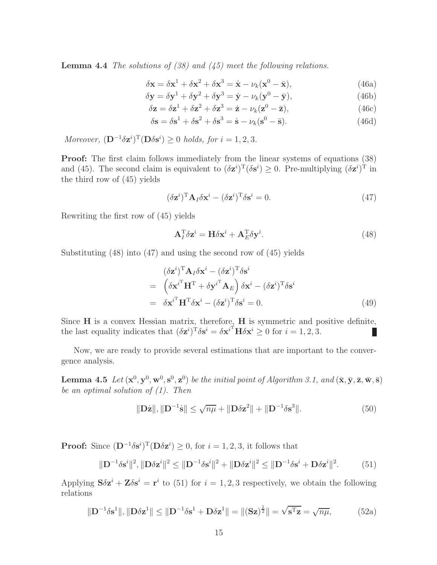**Lemma 4.4** The solutions of  $(38)$  and  $(45)$  meet the following relations.

$$
\delta \mathbf{x} = \delta \mathbf{x}^1 + \delta \mathbf{x}^2 + \delta \mathbf{x}^3 = \dot{\mathbf{x}} - \nu_k (\mathbf{x}^0 - \bar{\mathbf{x}}), \tag{46a}
$$

$$
\delta \mathbf{y} = \delta \mathbf{y}^1 + \delta \mathbf{y}^2 + \delta \mathbf{y}^3 = \dot{\mathbf{y}} - \nu_k (\mathbf{y}^0 - \bar{\mathbf{y}}), \tag{46b}
$$

$$
\delta \mathbf{z} = \delta \mathbf{z}^1 + \delta \mathbf{z}^2 + \delta \mathbf{z}^3 = \dot{\mathbf{z}} - \nu_k (\mathbf{z}^0 - \bar{\mathbf{z}}), \tag{46c}
$$

$$
\delta \mathbf{s} = \delta \mathbf{s}^1 + \delta \mathbf{s}^2 + \delta \mathbf{s}^3 = \dot{\mathbf{s}} - \nu_k (\mathbf{s}^0 - \bar{\mathbf{s}}). \tag{46d}
$$

Moreover,  $(\mathbf{D}^{-1}\delta \mathbf{z}^i)^{\mathrm{T}}(\mathbf{D}\delta \mathbf{s}^i) \geq 0$  holds, for  $i = 1, 2, 3$ .

**Proof:** The first claim follows immediately from the linear systems of equations  $(38)$ and (45). The second claim is equivalent to  $(\delta \mathbf{z}^i)^T (\delta \mathbf{s}^i) \geq 0$ . Pre-multiplying  $(\delta \mathbf{z}^i)^T$  in the third row of (45) yields

$$
(\delta \mathbf{z}^i)^{\mathrm{T}} \mathbf{A}_I \delta \mathbf{x}^i - (\delta \mathbf{z}^i)^{\mathrm{T}} \delta \mathbf{s}^i = 0.
$$
 (47)

Rewriting the first row of (45) yields

$$
\mathbf{A}_I^{\mathrm{T}} \delta \mathbf{z}^i = \mathbf{H} \delta \mathbf{x}^i + \mathbf{A}_E^{\mathrm{T}} \delta \mathbf{y}^i.
$$
 (48)

Substituting (48) into (47) and using the second row of (45) yields

$$
(\delta \mathbf{z}^i)^{\mathrm{T}} \mathbf{A}_I \delta \mathbf{x}^i - (\delta \mathbf{z}^i)^{\mathrm{T}} \delta \mathbf{s}^i
$$
  
= 
$$
(\delta \mathbf{x}^{i \mathrm{T}} \mathbf{H}^{\mathrm{T}} + \delta \mathbf{y}^{i \mathrm{T}} \mathbf{A}_E) \delta \mathbf{x}^i - (\delta \mathbf{z}^i)^{\mathrm{T}} \delta \mathbf{s}^i
$$
  
= 
$$
\delta \mathbf{x}^{i \mathrm{T}} \mathbf{H}^{\mathrm{T}} \delta \mathbf{x}^i - (\delta \mathbf{z}^i)^{\mathrm{T}} \delta \mathbf{s}^i = 0.
$$
 (49)

Since  $H$  is a convex Hessian matrix, therefore,  $H$  is symmetric and positive definite, the last equality indicates that  $(\delta \mathbf{z}^i)^T \delta \mathbf{s}^i = \delta \mathbf{x}^{i^T} \mathbf{H} \delta \mathbf{x}^i \geq 0$  for  $i = 1, 2, 3$ .  $\overline{\phantom{a}}$ 

Now, we are ready to provide several estimations that are important to the convergence analysis.

**Lemma 4.5** Let  $(\mathbf{x}^0, \mathbf{y}^0, \mathbf{w}^0, \mathbf{s}^0, \mathbf{z}^0)$  be the initial point of Algorithm 3.1, and  $(\bar{\mathbf{x}}, \bar{\mathbf{y}}, \bar{\mathbf{z}}, \bar{\mathbf{w}}, \bar{\mathbf{s}})$ be an optimal solution of  $(1)$ . Then

$$
\|\mathbf{D}\dot{\mathbf{z}}\|, \|\mathbf{D}^{-1}\dot{\mathbf{s}}\| \le \sqrt{n\mu} + \|\mathbf{D}\delta\mathbf{z}^2\| + \|\mathbf{D}^{-1}\delta\mathbf{s}^3\|.
$$
 (50)

**Proof:** Since  $(D^{-1}\delta s^i)^T(D\delta z^i) \geq 0$ , for  $i = 1, 2, 3$ , it follows that

$$
\|\mathbf{D}^{-1}\delta\mathbf{s}^i\|^2, \|\mathbf{D}\delta\mathbf{z}^i\|^2 \le \|\mathbf{D}^{-1}\delta\mathbf{s}^i\|^2 + \|\mathbf{D}\delta\mathbf{z}^i\|^2 \le \|\mathbf{D}^{-1}\delta\mathbf{s}^i + \mathbf{D}\delta\mathbf{z}^i\|^2. \tag{51}
$$

Applying  $S\delta z^i + Z\delta s^i = r^i$  to (51) for  $i = 1, 2, 3$  respectively, we obtain the following relations

$$
\|\mathbf{D}^{-1}\delta\mathbf{s}^{1}\|, \|\mathbf{D}\delta\mathbf{z}^{1}\| \le \|\mathbf{D}^{-1}\delta\mathbf{s}^{1} + \mathbf{D}\delta\mathbf{z}^{1}\| = \|(\mathbf{S}\mathbf{z})^{\frac{1}{2}}\| = \sqrt{\mathbf{s}^{T}\mathbf{z}} = \sqrt{n\mu},
$$
 (52a)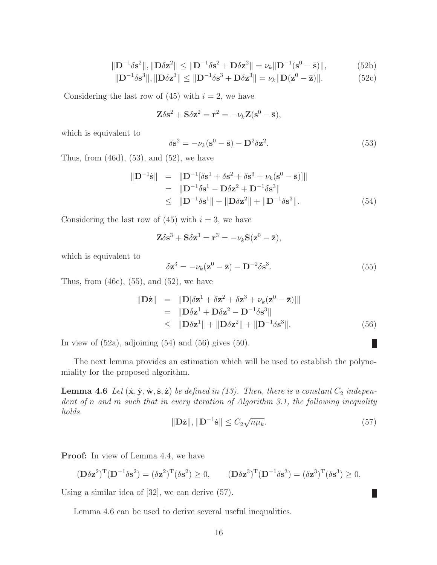$$
\|\mathbf{D}^{-1}\delta\mathbf{s}^{2}\|, \|\mathbf{D}\delta\mathbf{z}^{2}\| \le \|\mathbf{D}^{-1}\delta\mathbf{s}^{2} + \mathbf{D}\delta\mathbf{z}^{2}\| = \nu_{k}\|\mathbf{D}^{-1}(\mathbf{s}^{0} - \bar{\mathbf{s}})\|,
$$
 (52b)

$$
\|\mathbf{D}^{-1}\delta\mathbf{s}^{3}\|, \|\mathbf{D}\delta\mathbf{z}^{3}\| \le \|\mathbf{D}^{-1}\delta\mathbf{s}^{3} + \mathbf{D}\delta\mathbf{z}^{3}\| = \nu_{k}\|\mathbf{D}(\mathbf{z}^{0} - \bar{\mathbf{z}})\|.
$$
 (52c)

Considering the last row of  $(45)$  with  $i = 2$ , we have

$$
\mathbf{Z}\delta\mathbf{s}^2 + \mathbf{S}\delta\mathbf{z}^2 = \mathbf{r}^2 = -\nu_k \mathbf{Z}(\mathbf{s}^0 - \bar{\mathbf{s}}),
$$

which is equivalent to

$$
\delta \mathbf{s}^2 = -\nu_k (\mathbf{s}^0 - \bar{\mathbf{s}}) - \mathbf{D}^2 \delta \mathbf{z}^2.
$$
 (53)

Thus, from  $(46d)$ ,  $(53)$ , and  $(52)$ , we have

$$
\|\mathbf{D}^{-1}\dot{\mathbf{s}}\| = \|\mathbf{D}^{-1}[\delta \mathbf{s}^1 + \delta \mathbf{s}^2 + \delta \mathbf{s}^3 + \nu_k (\mathbf{s}^0 - \bar{\mathbf{s}})]\|
$$
  
\n
$$
= \|\mathbf{D}^{-1}\delta \mathbf{s}^1 - \mathbf{D}\delta \mathbf{z}^2 + \mathbf{D}^{-1}\delta \mathbf{s}^3\|
$$
  
\n
$$
\leq \|\mathbf{D}^{-1}\delta \mathbf{s}^1\| + \|\mathbf{D}\delta \mathbf{z}^2\| + \|\mathbf{D}^{-1}\delta \mathbf{s}^3\|.
$$
 (54)

Considering the last row of  $(45)$  with  $i = 3$ , we have

$$
\mathbf{Z}\delta\mathbf{s}^3 + \mathbf{S}\delta\mathbf{z}^3 = \mathbf{r}^3 = -\nu_k \mathbf{S}(\mathbf{z}^0 - \bar{\mathbf{z}}),
$$

which is equivalent to

$$
\delta \mathbf{z}^3 = -\nu_k (\mathbf{z}^0 - \bar{\mathbf{z}}) - \mathbf{D}^{-2} \delta \mathbf{s}^3. \tag{55}
$$

Thus, from  $(46c)$ ,  $(55)$ , and  $(52)$ , we have

$$
\|\mathbf{D}\dot{\mathbf{z}}\| = \|\mathbf{D}[\delta \mathbf{z}^1 + \delta \mathbf{z}^2 + \delta \mathbf{z}^3 + \nu_k (\mathbf{z}^0 - \bar{\mathbf{z}})]\|
$$
  
\n
$$
= \|\mathbf{D}\delta \mathbf{z}^1 + \mathbf{D}\delta \mathbf{z}^2 - \mathbf{D}^{-1}\delta \mathbf{s}^3\|
$$
  
\n
$$
\leq \|\mathbf{D}\delta \mathbf{z}^1\| + \|\mathbf{D}\delta \mathbf{z}^2\| + \|\mathbf{D}^{-1}\delta \mathbf{s}^3\|.
$$
 (56)

In view of  $(52a)$ , adjoining  $(54)$  and  $(56)$  gives  $(50)$ .

The next lemma provides an estimation which will be used to establish the polynomiality for the proposed algorithm.

**Lemma 4.6** Let  $(\dot{x}, \dot{y}, \dot{w}, \dot{s}, \dot{z})$  be defined in (13). Then, there is a constant  $C_2$  independent of n and m such that in every iteration of Algorithm 3.1, the following inequality holds.

$$
\|\mathbf{D}\dot{\mathbf{z}}\|, \|\mathbf{D}^{-1}\dot{\mathbf{s}}\| \le C_2 \sqrt{n\mu_k}.\tag{57}
$$

Ш

Ш

**Proof:** In view of Lemma 4.4, we have

$$
(\mathbf{D}\delta\mathbf{z}^2)^{\mathrm{T}}(\mathbf{D}^{-1}\delta\mathbf{s}^2) = (\delta\mathbf{z}^2)^{\mathrm{T}}(\delta\mathbf{s}^2) \ge 0, \qquad (\mathbf{D}\delta\mathbf{z}^3)^{\mathrm{T}}(\mathbf{D}^{-1}\delta\mathbf{s}^3) = (\delta\mathbf{z}^3)^{\mathrm{T}}(\delta\mathbf{s}^3) \ge 0.
$$

Using a similar idea of [32], we can derive (57).

Lemma 4.6 can be used to derive several useful inequalities.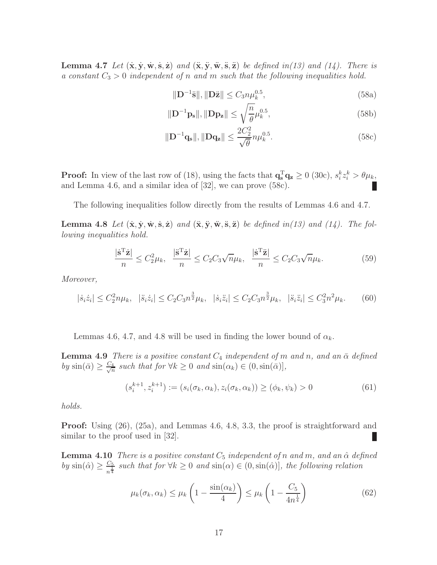**Lemma 4.7** Let  $(\dot{x}, \dot{y}, \dot{w}, \dot{s}, \dot{z})$  and  $(\ddot{x}, \ddot{y}, \ddot{w}, \ddot{s}, \ddot{z})$  be defined in(13) and (14). There is a constant  $C_3 > 0$  independent of n and m such that the following inequalities hold.

$$
\|\mathbf{D}^{-1}\ddot{\mathbf{s}}\|, \|\mathbf{D}\ddot{\mathbf{z}}\| \le C_3 n \mu_k^{0.5},\tag{58a}
$$

$$
\|\mathbf{D}^{-1}\mathbf{p_s}\|, \|\mathbf{D}\mathbf{p_z}\| \le \sqrt{\frac{n}{\theta}} \mu_k^{0.5},\tag{58b}
$$

$$
\|\mathbf{D}^{-1}\mathbf{q_s}\|, \|\mathbf{D}\mathbf{q_z}\| \le \frac{2C_2^2}{\sqrt{\theta}} n\mu_k^{0.5}.
$$
 (58c)

**Proof:** In view of the last row of (18), using the facts that  $\mathbf{q}_s^{\mathrm{T}}\mathbf{q}_z \ge 0$  (30c),  $s_i^k z_i^k > \theta \mu_k$ , and Lemma 4.6, and a similar idea of [32], we can prove (58c).

The following inequalities follow directly from the results of Lemmas 4.6 and 4.7.

**Lemma 4.8** Let  $(\dot{x}, \dot{y}, \dot{w}, \dot{s}, \dot{z})$  and  $(\ddot{x}, \ddot{y}, \ddot{w}, \ddot{s}, \ddot{z})$  be defined in(13) and (14). The following inequalities hold.

$$
\frac{|\dot{\mathbf{s}}^{\mathrm{T}}\dot{\mathbf{z}}|}{n} \le C_2^2 \mu_k, \quad \frac{|\ddot{\mathbf{s}}^{\mathrm{T}}\dot{\mathbf{z}}|}{n} \le C_2 C_3 \sqrt{n} \mu_k, \quad \frac{|\dot{\mathbf{s}}^{\mathrm{T}}\ddot{\mathbf{z}}|}{n} \le C_2 C_3 \sqrt{n} \mu_k. \tag{59}
$$

Moreover,

$$
|\dot{s}_i \dot{z}_i| \le C_2^2 n \mu_k, \quad |\ddot{s}_i \dot{z}_i| \le C_2 C_3 n^{\frac{3}{2}} \mu_k, \quad |\dot{s}_i \ddot{z}_i| \le C_2 C_3 n^{\frac{3}{2}} \mu_k, \quad |\ddot{s}_i \ddot{z}_i| \le C_3^2 n^2 \mu_k. \tag{60}
$$

Lemmas 4.6, 4.7, and 4.8 will be used in finding the lower bound of  $\alpha_k$ .

**Lemma 4.9** There is a positive constant  $C_4$  independent of m and n, and an  $\bar{\alpha}$  defined by  $\sin(\bar{\alpha}) \geq \frac{C_4}{\sqrt{n}}$  $\frac{4}{n}$  such that for  $\forall k \geq 0$  and  $\sin(\alpha_k) \in (0, \sin(\bar{\alpha}))$ ,

$$
(s_i^{k+1}, z_i^{k+1}) := (s_i(\sigma_k, \alpha_k), z_i(\sigma_k, \alpha_k)) \ge (\phi_k, \psi_k) > 0
$$
\n(61)

holds.

Proof: Using (26), (25a), and Lemmas 4.6, 4.8, 3.3, the proof is straightforward and similar to the proof used in [32].

**Lemma 4.10** There is a positive constant  $C_5$  independent of n and m, and an  $\hat{\alpha}$  defined by  $\sin(\hat{\alpha}) \geq \frac{C_5}{n^{\frac{1}{4}}}$  $\frac{C_5}{n^{\frac{1}{4}}}$  such that for  $\forall k \geq 0$  and  $\sin(\alpha) \in (0, \sin(\hat{\alpha}))$ , the following relation

$$
\mu_k(\sigma_k, \alpha_k) \le \mu_k \left( 1 - \frac{\sin(\alpha_k)}{4} \right) \le \mu_k \left( 1 - \frac{C_5}{4n^{\frac{1}{4}}} \right) \tag{62}
$$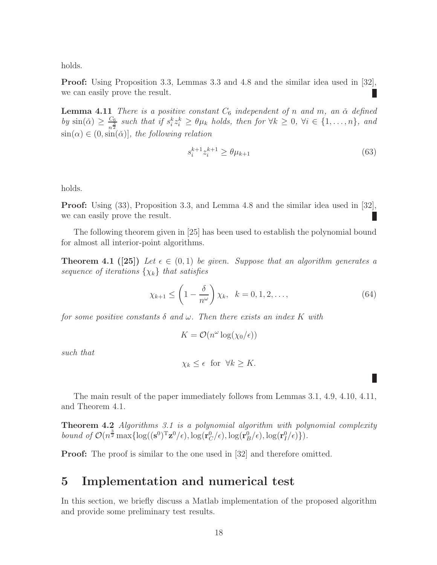holds.

Proof: Using Proposition 3.3, Lemmas 3.3 and 4.8 and the similar idea used in [32], we can easily prove the result.

**Lemma 4.11** There is a positive constant  $C_6$  independent of n and m, an  $\check{\alpha}$  defined by  $\sin(\check{\alpha}) \geq \frac{C_6}{n^{\frac{3}{2}}}$  $\frac{C_6}{n^2}$  such that if  $s_i^k z_i^k \ge \theta \mu_k$  holds, then for  $\forall k \ge 0, \forall i \in \{1, ..., n\}$ , and  $\sin(\alpha) \in (0, \sin(\alpha))$ , the following relation

$$
s_i^{k+1} z_i^{k+1} \ge \theta \mu_{k+1} \tag{63}
$$

holds.

Proof: Using (33), Proposition 3.3, and Lemma 4.8 and the similar idea used in [32], we can easily prove the result.

The following theorem given in [25] has been used to establish the polynomial bound for almost all interior-point algorithms.

**Theorem 4.1 ([25])** Let  $\epsilon \in (0,1)$  be given. Suppose that an algorithm generates a sequence of iterations  $\{\chi_k\}$  that satisfies

$$
\chi_{k+1} \le \left(1 - \frac{\delta}{n^{\omega}}\right) \chi_k, \quad k = 0, 1, 2, \dots,
$$
\n(64)

for some positive constants  $\delta$  and  $\omega$ . Then there exists an index K with

$$
K = \mathcal{O}(n^{\omega} \log(\chi_0/\epsilon))
$$

such that

$$
\chi_k \leq \epsilon \ \text{for} \ \forall k \geq K.
$$

The main result of the paper immediately follows from Lemmas 3.1, 4.9, 4.10, 4.11, and Theorem 4.1.

Theorem 4.2 Algorithms 3.1 is a polynomial algorithm with polynomial complexity bound of  $\mathcal{O}(n^{\frac{3}{2}} \max\{\log((s^0)^T z^0/\epsilon), \log(r_C^0/\epsilon), \log(r_B^0/\epsilon), \log(r_I^0/\epsilon)\})$ .

**Proof:** The proof is similar to the one used in [32] and therefore omitted.

# 5 Implementation and numerical test

In this section, we briefly discuss a Matlab implementation of the proposed algorithm and provide some preliminary test results.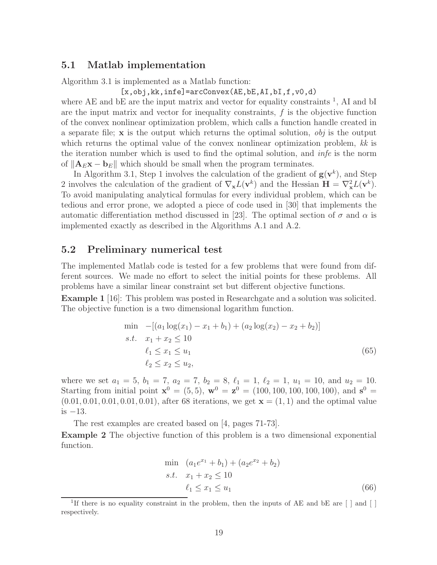#### 5.1 Matlab implementation

Algorithm 3.1 is implemented as a Matlab function:

 $[x, obj, kk, infe] = arcConvex(AE, bE, AI, bI, f, v0, d)$ 

where AE and  $bE$  are the input matrix and vector for equality constraints <sup>1</sup>, AI and  $bI$ are the input matrix and vector for inequality constraints,  $f$  is the objective function of the convex nonlinear optimization problem, which calls a function handle created in a separate file;  $x$  is the output which returns the optimal solution,  $obj$  is the output which returns the optimal value of the convex nonlinear optimization problem,  $kk$  is the iteration number which is used to find the optimal solution, and infe is the norm of  $\|\mathbf{A}_E\mathbf{x} - \mathbf{b}_E\|$  which should be small when the program terminates.

In Algorithm 3.1, Step 1 involves the calculation of the gradient of  $g(v^k)$ , and Step 2 involves the calculation of the gradient of  $\nabla_{\mathbf{x}}L(\mathbf{v}^k)$  and the Hessian  $\mathbf{H} = \nabla_{\mathbf{x}}^2 L(\mathbf{v}^k)$ . To avoid manipulating analytical formulas for every individual problem, which can be tedious and error prone, we adopted a piece of code used in [30] that implements the automatic differentiation method discussed in [23]. The optimal section of  $\sigma$  and  $\alpha$  is implemented exactly as described in the Algorithms A.1 and A.2.

#### 5.2 Preliminary numerical test

The implemented Matlab code is tested for a few problems that were found from different sources. We made no effort to select the initial points for these problems. All problems have a similar linear constraint set but different objective functions.

Example 1 [16]: This problem was posted in Researchgate and a solution was solicited. The objective function is a two dimensional logarithm function.

$$
\min -[(a_1 \log(x_1) - x_1 + b_1) + (a_2 \log(x_2) - x_2 + b_2)]
$$
  
s.t.  $x_1 + x_2 \le 10$   
 $\ell_1 \le x_1 \le u_1$   
 $\ell_2 \le x_2 \le u_2,$  (65)

where we set  $a_1 = 5$ ,  $b_1 = 7$ ,  $a_2 = 7$ ,  $b_2 = 8$ ,  $\ell_1 = 1$ ,  $\ell_2 = 1$ ,  $u_1 = 10$ , and  $u_2 = 10$ . Starting from initial point  $\mathbf{x}^0 = (5, 5)$ ,  $\mathbf{w}^0 = \mathbf{z}^0 = (100, 100, 100, 100, 100)$ , and  $\mathbf{s}^0 =$  $(0.01, 0.01, 0.01, 0.01, 0.01)$ , after 68 iterations, we get  $\mathbf{x} = (1, 1)$  and the optimal value is −13.

The rest examples are created based on [4, pages 71-73].

Example 2 The objective function of this problem is a two dimensional exponential function.

$$
\min \quad (a_1 e^{x_1} + b_1) + (a_2 e^{x_2} + b_2) \ns.t. \quad x_1 + x_2 \le 10 \n\ell_1 \le x_1 \le u_1
$$
\n(66)

<sup>&</sup>lt;sup>1</sup>If there is no equality constraint in the problem, then the inputs of AE and bE are [ ] and [ ] respectively.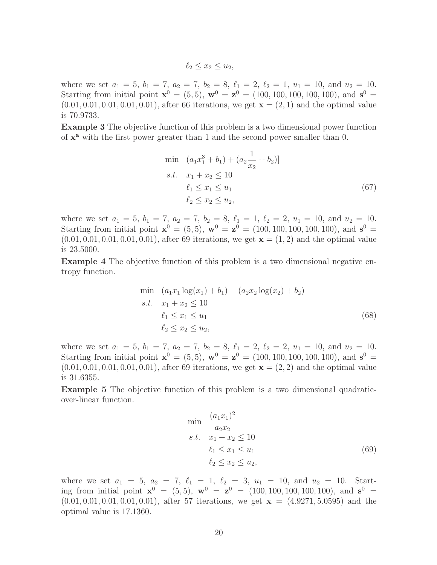$\ell_2 < x_2 < u_2$ ,

where we set  $a_1 = 5$ ,  $b_1 = 7$ ,  $a_2 = 7$ ,  $b_2 = 8$ ,  $\ell_1 = 2$ ,  $\ell_2 = 1$ ,  $u_1 = 10$ , and  $u_2 = 10$ . Starting from initial point  $\mathbf{x}^0 = (5, 5)$ ,  $\mathbf{w}^0 = \mathbf{z}^0 = (100, 100, 100, 100, 100)$ , and  $\mathbf{s}^0 =$  $(0.01, 0.01, 0.01, 0.01, 0.01)$ , after 66 iterations, we get  $\mathbf{x} = (2, 1)$  and the optimal value is 70.9733.

Example 3 The objective function of this problem is a two dimensional power function of  $x^a$  with the first power greater than 1 and the second power smaller than 0.

$$
\min \quad (a_1 x_1^3 + b_1) + (a_2 \frac{1}{x_2} + b_2)]
$$
\n
$$
s.t. \quad x_1 + x_2 \le 10
$$
\n
$$
\ell_1 \le x_1 \le u_1
$$
\n
$$
\ell_2 \le x_2 \le u_2,
$$
\n(67)

where we set  $a_1 = 5$ ,  $b_1 = 7$ ,  $a_2 = 7$ ,  $b_2 = 8$ ,  $\ell_1 = 1$ ,  $\ell_2 = 2$ ,  $u_1 = 10$ , and  $u_2 = 10$ . Starting from initial point  $\mathbf{x}^0 = (5, 5)$ ,  $\mathbf{w}^0 = \mathbf{z}^0 = (100, 100, 100, 100, 100)$ , and  $\mathbf{s}^0 =$  $(0.01, 0.01, 0.01, 0.01, 0.01)$ , after 69 iterations, we get  $\mathbf{x} = (1, 2)$  and the optimal value is 23.5000.

Example 4 The objective function of this problem is a two dimensional negative entropy function.

$$
\min (a_1x_1 \log(x_1) + b_1) + (a_2x_2 \log(x_2) + b_2)
$$
  
s.t.  $x_1 + x_2 \le 10$   
 $\ell_1 \le x_1 \le u_1$   
 $\ell_2 \le x_2 \le u_2,$  (68)

where we set  $a_1 = 5$ ,  $b_1 = 7$ ,  $a_2 = 7$ ,  $b_2 = 8$ ,  $\ell_1 = 2$ ,  $\ell_2 = 2$ ,  $u_1 = 10$ , and  $u_2 = 10$ . Starting from initial point  $\mathbf{x}^0 = (5, 5)$ ,  $\mathbf{w}^0 = \mathbf{z}^0 = (100, 100, 100, 100, 100)$ , and  $\mathbf{s}^0 =$  $(0.01, 0.01, 0.01, 0.01, 0.01)$ , after 69 iterations, we get  $\mathbf{x} = (2, 2)$  and the optimal value is 31.6355.

Example 5 The objective function of this problem is a two dimensional quadraticover-linear function.

$$
\min \frac{(a_1 x_1)^2}{a_2 x_2}
$$
\n*s.t.*  $x_1 + x_2 \le 10$   
\n $\ell_1 \le x_1 \le u_1$   
\n $\ell_2 \le x_2 \le u_2,$ \n(69)

where we set  $a_1 = 5$ ,  $a_2 = 7$ ,  $\ell_1 = 1$ ,  $\ell_2 = 3$ ,  $u_1 = 10$ , and  $u_2 = 10$ . Starting from initial point  $\mathbf{x}^0 = (5, 5)$ ,  $\mathbf{w}^0 = \mathbf{z}^0 = (100, 100, 100, 100, 100)$ , and  $\mathbf{s}^0 =$  $(0.01, 0.01, 0.01, 0.01, 0.01)$ , after 57 iterations, we get  $\mathbf{x} = (4.9271, 5.0595)$  and the optimal value is 17.1360.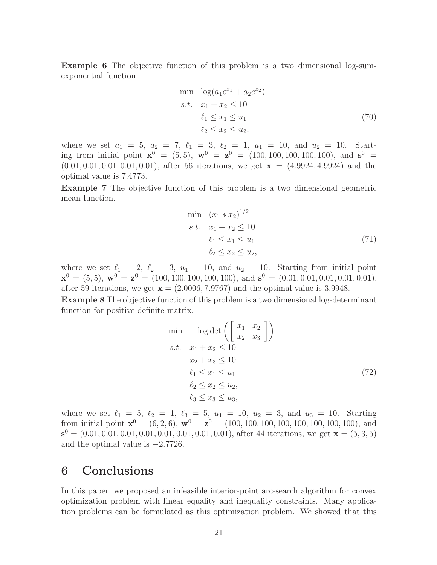Example 6 The objective function of this problem is a two dimensional log-sumexponential function.

min 
$$
\log(a_1e^{x_1} + a_2e^{x_2})
$$
  
\ns.t.  $x_1 + x_2 \le 10$   
\n $\ell_1 \le x_1 \le u_1$   
\n $\ell_2 \le x_2 \le u_2$ , (70)

where we set  $a_1 = 5$ ,  $a_2 = 7$ ,  $\ell_1 = 3$ ,  $\ell_2 = 1$ ,  $u_1 = 10$ , and  $u_2 = 10$ . Starting from initial point  $\mathbf{x}^0 = (5, 5)$ ,  $\mathbf{w}^0 = \mathbf{z}^0 = (100, 100, 100, 100, 100)$ , and  $\mathbf{s}^0 =$  $(0.01, 0.01, 0.01, 0.01, 0.01)$ , after 56 iterations, we get  $\mathbf{x} = (4.9924, 4.9924)$  and the optimal value is 7.4773.

Example 7 The objective function of this problem is a two dimensional geometric mean function.

$$
\min (x_1 * x_2)^{1/2} \ns.t. \t x_1 + x_2 \le 10 \t \t \ell_1 \le x_1 \le u_1 \t \ell_2 \le x_2 \le u_2,
$$
\t(71)

where we set  $\ell_1 = 2, \ell_2 = 3, u_1 = 10,$  and  $u_2 = 10$ . Starting from initial point  $\mathbf{x}^0 = (5, 5)$ ,  $\mathbf{w}^0 = \mathbf{z}^0 = (100, 100, 100, 100, 100)$ , and  $\mathbf{s}^0 = (0.01, 0.01, 0.01, 0.01, 0.01)$ , after 59 iterations, we get  $\mathbf{x} = (2.0006, 7.9767)$  and the optimal value is 3.9948.

Example 8 The objective function of this problem is a two dimensional log-determinant function for positive definite matrix.

$$
\min -\log \det \left( \begin{bmatrix} x_1 & x_2 \\ x_2 & x_3 \end{bmatrix} \right)
$$
  
s.t.  $x_1 + x_2 \le 10$   
 $x_2 + x_3 \le 10$   
 $\ell_1 \le x_1 \le u_1$   
 $\ell_2 \le x_2 \le u_2$ ,  
 $\ell_3 \le x_3 \le u_3$ , (72)

where we set  $\ell_1 = 5, \ell_2 = 1, \ell_3 = 5, u_1 = 10, u_2 = 3, \text{ and } u_3 = 10.$  Starting from initial point  $\mathbf{x}^0 = (6, 2, 6)$ ,  $\mathbf{w}^0 = \mathbf{z}^0 = (100, 100, 100, 100, 100, 100, 100)$ , and  $\mathbf{s}^0 = (0.01, 0.01, 0.01, 0.01, 0.01, 0.01, 0.01, 0.01)$ , after 44 iterations, we get  $\mathbf{x} = (5, 3, 5)$ and the optimal value is −2.7726.

### 6 Conclusions

In this paper, we proposed an infeasible interior-point arc-search algorithm for convex optimization problem with linear equality and inequality constraints. Many application problems can be formulated as this optimization problem. We showed that this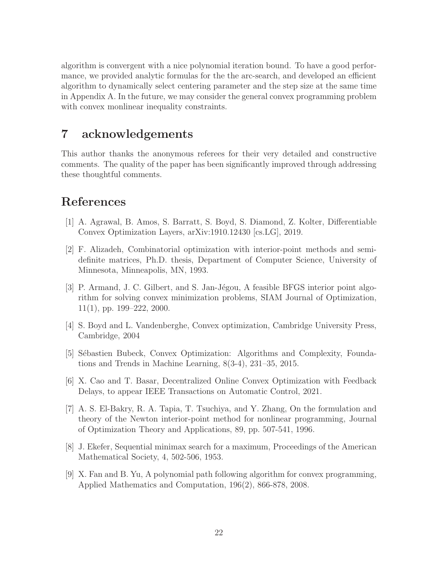algorithm is convergent with a nice polynomial iteration bound. To have a good performance, we provided analytic formulas for the the arc-search, and developed an efficient algorithm to dynamically select centering parameter and the step size at the same time in Appendix A. In the future, we may consider the general convex programming problem with convex monlinear inequality constraints.

# 7 acknowledgements

This author thanks the anonymous referees for their very detailed and constructive comments. The quality of the paper has been significantly improved through addressing these thoughtful comments.

# References

- [1] A. Agrawal, B. Amos, S. Barratt, S. Boyd, S. Diamond, Z. Kolter, Differentiable Convex Optimization Layers, arXiv:1910.12430 [cs.LG], 2019.
- [2] F. Alizadeh, Combinatorial optimization with interior-point methods and semidefinite matrices, Ph.D. thesis, Department of Computer Science, University of Minnesota, Minneapolis, MN, 1993.
- [3] P. Armand, J. C. Gilbert, and S. Jan-Jégou, A feasible BFGS interior point algorithm for solving convex minimization problems, SIAM Journal of Optimization,  $11(1)$ , pp. 199–222, 2000.
- [4] S. Boyd and L. Vandenberghe, Convex optimization, Cambridge University Press, Cambridge, 2004
- [5] Sébastien Bubeck, Convex Optimization: Algorithms and Complexity, Foundations and Trends in Machine Learning, 8(3-4), 231–35, 2015.
- [6] X. Cao and T. Basar, Decentralized Online Convex Optimization with Feedback Delays, to appear IEEE Transactions on Automatic Control, 2021.
- [7] A. S. El-Bakry, R. A. Tapia, T. Tsuchiya, and Y. Zhang, On the formulation and theory of the Newton interior-point method for nonlinear programming, Journal of Optimization Theory and Applications, 89, pp. 507-541, 1996.
- [8] J. Ekefer, Sequential minimax search for a maximum, Proceedings of the American Mathematical Society, 4, 502-506, 1953.
- [9] X. Fan and B. Yu, A polynomial path following algorithm for convex programming, Applied Mathematics and Computation, 196(2), 866-878, 2008.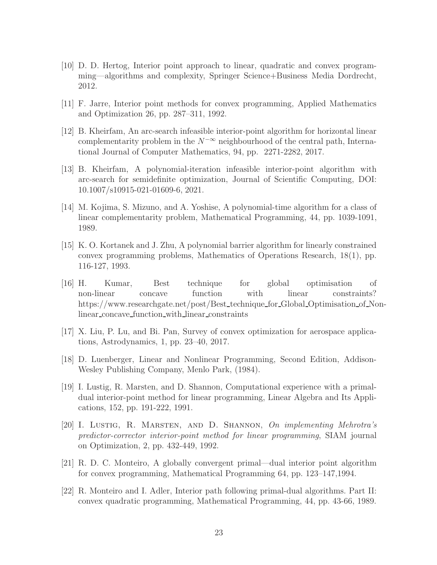- [10] D. D. Hertog, Interior point approach to linear, quadratic and convex programming—algorithms and complexity, Springer Science+Business Media Dordrecht, 2012.
- [11] F. Jarre, Interior point methods for convex programming, Applied Mathematics and Optimization 26, pp. 287–311, 1992.
- [12] B. Kheirfam, An arc-search infeasible interior-point algorithm for horizontal linear complementarity problem in the  $N^{-\infty}$  neighbourhood of the central path, International Journal of Computer Mathematics, 94, pp. 2271-2282, 2017.
- [13] B. Kheirfam, A polynomial-iteration infeasible interior-point algorithm with arc-search for semidefinite optimization, Journal of Scientific Computing, DOI: 10.1007/s10915-021-01609-6, 2021.
- [14] M. Kojima, S. Mizuno, and A. Yoshise, A polynomial-time algorithm for a class of linear complementarity problem, Mathematical Programming, 44, pp. 1039-1091, 1989.
- [15] K. O. Kortanek and J. Zhu, A polynomial barrier algorithm for linearly constrained convex programming problems, Mathematics of Operations Research, 18(1), pp. 116-127, 1993.
- [16] H. Kumar, Best technique for global optimisation of non-linear concave function with linear constraints? https://www.researchgate.net/post/Best technique for Global Optimisation of Nonlinear concave function with linear constraints
- [17] X. Liu, P. Lu, and Bi. Pan, Survey of convex optimization for aerospace applications, Astrodynamics, 1, pp. 23–40, 2017.
- [18] D. Luenberger, Linear and Nonlinear Programming, Second Edition, Addison-Wesley Publishing Company, Menlo Park, (1984).
- [19] I. Lustig, R. Marsten, and D. Shannon, Computational experience with a primaldual interior-point method for linear programming, Linear Algebra and Its Applications, 152, pp. 191-222, 1991.
- [20] I. Lustig, R. Marsten, and D. Shannon, On implementing Mehrotra's predictor-corrector interior-point method for linear programming, SIAM journal on Optimization, 2, pp. 432-449, 1992.
- [21] R. D. C. Monteiro, A globally convergent primal—dual interior point algorithm for convex programming, Mathematical Programming 64, pp. 123–147,1994.
- [22] R. Monteiro and I. Adler, Interior path following primal-dual algorithms. Part II: convex quadratic programming, Mathematical Programming, 44, pp. 43-66, 1989.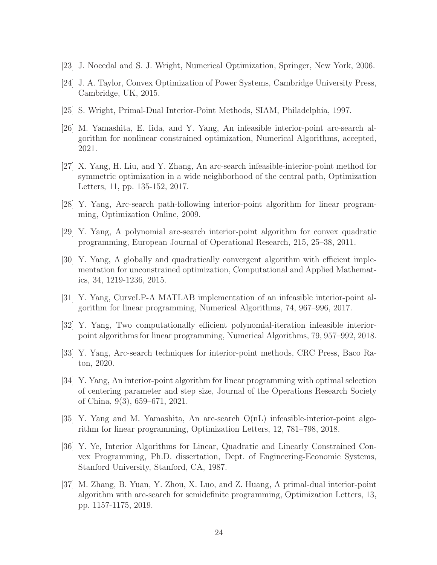- [23] J. Nocedal and S. J. Wright, Numerical Optimization, Springer, New York, 2006.
- [24] J. A. Taylor, Convex Optimization of Power Systems, Cambridge University Press, Cambridge, UK, 2015.
- [25] S. Wright, Primal-Dual Interior-Point Methods, SIAM, Philadelphia, 1997.
- [26] M. Yamashita, E. Iida, and Y. Yang, An infeasible interior-point arc-search algorithm for nonlinear constrained optimization, Numerical Algorithms, accepted, 2021.
- [27] X. Yang, H. Liu, and Y. Zhang, An arc-search infeasible-interior-point method for symmetric optimization in a wide neighborhood of the central path, Optimization Letters, 11, pp. 135-152, 2017.
- [28] Y. Yang, Arc-search path-following interior-point algorithm for linear programming, Optimization Online, 2009.
- [29] Y. Yang, A polynomial arc-search interior-point algorithm for convex quadratic programming, European Journal of Operational Research, 215, 25–38, 2011.
- [30] Y. Yang, A globally and quadratically convergent algorithm with efficient implementation for unconstrained optimization, Computational and Applied Mathematics, 34, 1219-1236, 2015.
- [31] Y. Yang, CurveLP-A MATLAB implementation of an infeasible interior-point algorithm for linear programming, Numerical Algorithms, 74, 967–996, 2017.
- [32] Y. Yang, Two computationally efficient polynomial-iteration infeasible interiorpoint algorithms for linear programming, Numerical Algorithms, 79, 957–992, 2018.
- [33] Y. Yang, Arc-search techniques for interior-point methods, CRC Press, Baco Raton, 2020.
- [34] Y. Yang, An interior-point algorithm for linear programming with optimal selection of centering parameter and step size, Journal of the Operations Research Society of China, 9(3), 659–671, 2021.
- [35] Y. Yang and M. Yamashita, An arc-search O(nL) infeasible-interior-point algorithm for linear programming, Optimization Letters, 12, 781–798, 2018.
- [36] Y. Ye, Interior Algorithms for Linear, Quadratic and Linearly Constrained Convex Programming, Ph.D. dissertation, Dept. of Engineering-Economie Systems, Stanford University, Stanford, CA, 1987.
- [37] M. Zhang, B. Yuan, Y. Zhou, X. Luo, and Z. Huang, A primal-dual interior-point algorithm with arc-search for semidefinite programming, Optimization Letters, 13, pp. 1157-1175, 2019.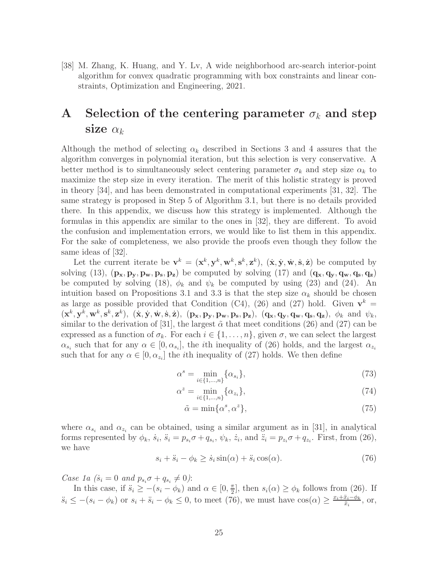[38] M. Zhang, K. Huang, and Y. Lv, A wide neighborhood arc-search interior-point algorithm for convex quadratic programming with box constraints and linear constraints, Optimization and Engineering, 2021.

# A Selection of the centering parameter  $\sigma_k$  and step size  $\alpha_k$

Although the method of selecting  $\alpha_k$  described in Sections 3 and 4 assures that the algorithm converges in polynomial iteration, but this selection is very conservative. A better method is to simultaneously select centering parameter  $\sigma_k$  and step size  $\alpha_k$  to maximize the step size in every iteration. The merit of this holistic strategy is proved in theory [34], and has been demonstrated in computational experiments [31, 32]. The same strategy is proposed in Step 5 of Algorithm 3.1, but there is no details provided there. In this appendix, we discuss how this strategy is implemented. Although the formulas in this appendix are similar to the ones in [32], they are different. To avoid the confusion and implementation errors, we would like to list them in this appendix. For the sake of completeness, we also provide the proofs even though they follow the same ideas of [32].

Let the current iterate be  $\mathbf{v}^k = (\mathbf{x}^k, \mathbf{y}^k, \mathbf{w}^k, \mathbf{s}^k, \mathbf{z}^k)$ ,  $(\dot{\mathbf{x}}, \dot{\mathbf{y}}, \dot{\mathbf{w}}, \dot{\mathbf{s}}, \dot{\mathbf{z}})$  be computed by solving (13),  $(\mathbf{p_x}, \mathbf{p_y}, \mathbf{p_w}, \mathbf{p_s}, \mathbf{p_z})$  be computed by solving (17) and  $(\mathbf{q_x}, \mathbf{q_y}, \mathbf{q_w}, \mathbf{q_s}, \mathbf{q_z})$ be computed by solving (18),  $\phi_k$  and  $\psi_k$  be computed by using (23) and (24). An intuition based on Propositions 3.1 and 3.3 is that the step size  $\alpha_k$  should be chosen as large as possible provided that Condition (C4), (26) and (27) hold. Given  $\mathbf{v}^k =$  $(\mathbf{x}^k, \mathbf{y}^k, \mathbf{w}^k, \mathbf{s}^k, \mathbf{z}^k), (\dot{\mathbf{x}}, \dot{\mathbf{y}}, \dot{\mathbf{w}}, \dot{\mathbf{s}}, \dot{\mathbf{z}}), (\mathbf{p}_\mathbf{x}, \mathbf{p}_\mathbf{y}, \mathbf{p}_\mathbf{w}, \mathbf{p}_\mathbf{s}, \mathbf{p}_\mathbf{z}), (\mathbf{q}_\mathbf{x}, \mathbf{q}_\mathbf{y}, \mathbf{q}_\mathbf{w}, \mathbf{q}_\mathbf{s}, \mathbf{q}_\mathbf{z}), \phi_k$  and  $\psi_k$ , similar to the derivation of [31], the largest  $\tilde{\alpha}$  that meet conditions (26) and (27) can be expressed as a function of  $\sigma_k$ . For each  $i \in \{1, \ldots, n\}$ , given  $\sigma$ , we can select the largest  $\alpha_{s_i}$  such that for any  $\alpha \in [0, \alpha_{s_i}]$ , the *i*th inequality of (26) holds, and the largest  $\alpha_{z_i}$ such that for any  $\alpha \in [0, \alpha_{z_i}]$  the *i*th inequality of (27) holds. We then define

$$
\alpha^s = \min_{i \in \{1, \dots, n\}} \{\alpha_{s_i}\},\tag{73}
$$

$$
\alpha^z = \min_{i \in \{1, ..., n\}} \{\alpha_{z_i}\},\tag{74}
$$

$$
\tilde{\alpha} = \min\{\alpha^s, \alpha^z\},\tag{75}
$$

where  $\alpha_{s_i}$  and  $\alpha_{z_i}$  can be obtained, using a similar argument as in [31], in analytical forms represented by  $\phi_k$ ,  $\dot{s}_i$ ,  $\ddot{s}_i = p_{s_i}\sigma + q_{s_i}$ ,  $\psi_k$ ,  $\dot{z}_i$ , and  $\ddot{z}_i = p_{z_i}\sigma + q_{z_i}$ . First, from (26), we have

$$
s_i + \ddot{s}_i - \phi_k \ge \dot{s}_i \sin(\alpha) + \ddot{s}_i \cos(\alpha). \tag{76}
$$

Case 1a  $(s_i = 0 \text{ and } p_{s_i} \sigma + q_{s_i} \neq 0)$ :

In this case, if  $\ddot{s}_i \ge -(s_i - \phi_k)$  and  $\alpha \in [0, \frac{\pi}{2}]$  $\frac{\pi}{2}$ , then  $s_i(\alpha) \ge \phi_k$  follows from (26). If  $\ddot{s}_i \leq -(s_i - \phi_k)$  or  $s_i + \ddot{s}_i - \phi_k \leq 0$ , to meet (76), we must have  $\cos(\alpha) \geq \frac{x_i + \ddot{x}_i - \phi_k}{\ddot{x}_i}$ , or,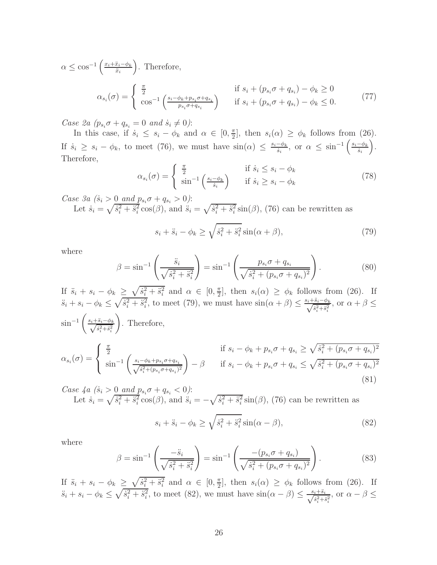$$
\alpha \le \cos^{-1}\left(\frac{x_i + \ddot{x}_i - \phi_k}{\ddot{x}_i}\right). \text{ Therefore,}
$$
\n
$$
\alpha_{s_i}(\sigma) = \begin{cases} \frac{\pi}{2} & \text{if } s_i + (p_{s_i}\sigma + q_{s_i}) - \phi_k \ge 0\\ \cos^{-1}\left(\frac{s_i - \phi_k + p_{s_i}\sigma + q_{s_i}}{p_{s_i}\sigma + q_{s_i}}\right) & \text{if } s_i + (p_{s_i}\sigma + q_{s_i}) - \phi_k \le 0. \end{cases} \tag{77}
$$

Case 2a  $(p_{s_i}\sigma + q_{s_i} = 0 \text{ and } \dot{s}_i \neq 0)$ :

In this case, if  $\dot{s}_i \leq s_i - \phi_k$  and  $\alpha \in [0, \frac{\pi}{2}]$  $\frac{\pi}{2}$ , then  $s_i(\alpha) \geq \phi_k$  follows from (26). If  $s_i \geq s_i - \phi_k$ , to meet (76), we must have  $\sin(\alpha) \leq \frac{s_i - \phi_k}{s_i}$ , or  $\alpha \leq \sin^{-1}\left(\frac{s_i - \phi_k}{s_i}\right)$ . Therefore,

$$
\alpha_{s_i}(\sigma) = \begin{cases} \frac{\pi}{2} & \text{if } \dot{s}_i \le s_i - \phi_k \\ \sin^{-1}\left(\frac{s_i - \phi_k}{\dot{s}_i}\right) & \text{if } \dot{s}_i \ge s_i - \phi_k \end{cases} \tag{78}
$$

*Case 3a*  $(\dot{s}_i > 0 \text{ and } p_{s_i} \sigma + q_{s_i} > 0)$ :

Let  $\dot{s}_i = \sqrt{\dot{s}_i^2 + \ddot{s}_i^2} \cos(\beta)$ , and  $\ddot{s}_i = \sqrt{\dot{s}_i^2 + \ddot{s}_i^2} \sin(\beta)$ , (76) can be rewritten as

$$
s_i + \ddot{s}_i - \phi_k \ge \sqrt{\dot{s}_i^2 + \ddot{s}_i^2} \sin(\alpha + \beta),\tag{79}
$$

where

$$
\beta = \sin^{-1}\left(\frac{\ddot{s}_i}{\sqrt{\dot{s}_i^2 + \ddot{s}_i^2}}\right) = \sin^{-1}\left(\frac{p_{s_i}\sigma + q_{s_i}}{\sqrt{\dot{s}_i^2 + (p_{s_i}\sigma + q_{s_i})^2}}\right). \tag{80}
$$

If  $\ddot{s}_i + s_i - \phi_k \geq \sqrt{\dot{s}_i^2 + \ddot{s}_i^2}$  and  $\alpha \in [0, \frac{\pi}{2}]$  $\frac{\pi}{2}$ , then  $s_i(\alpha) \geq \phi_k$  follows from (26). If  $s_i + s_i - \phi_k \leq \sqrt{\dot{s}_i^2 + \ddot{s}_i^2}$ , to meet (79), we must have  $\sin(\alpha + \beta) \leq \frac{s_i + \ddot{s}_i - \phi_k}{\sqrt{\dot{s}_i^2 + \ddot{s}_i^2}}$ , or  $\alpha + \beta \leq$  $\sin^{-1}\left(\frac{s_i+\ddot{s}_i-\phi_k}{\sqrt{\dot{s}_i^2+\ddot{s}_i^2}}\right)$  $\setminus$ . Therefore,  $\alpha_{s_i}(\sigma) =$  $\sqrt{ }$  $\int$  $\mathcal{L}$ π  $\frac{\pi}{2}$  if  $s_i - \phi_k + p_{s_i}\sigma + q_{s_i} \ge \sqrt{\dot{s}_i^2 + (p_{s_i}\sigma + q_{s_i})^2}$  $\sin^{-1}\left(\frac{s_i-\phi_k+p_{s_i}\sigma+q_{s_i}}{\sqrt{s_i^2+(p_{s_i}\sigma+q_{s_i})^2}}\right)$  $-\beta$  if  $s_i - \phi_k + p_{s_i}\sigma + q_{s_i} \leq \sqrt{\dot{s}_i^2 + (p_{s_i}\sigma + q_{s_i})^2}$ 

*Case 4a*  $(\dot{s}_i > 0 \text{ and } p_{s_i} \sigma + q_{s_i} < 0)$ : Let  $\dot{s}_i = \sqrt{\dot{s}_i^2 + \ddot{s}_i^2} \cos(\beta)$ , and  $\ddot{s}_i = -\sqrt{\dot{s}_i^2 + \ddot{s}_i^2} \sin(\beta)$ , (76) can be rewritten as

$$
s_i + \ddot{s}_i - \phi_k \ge \sqrt{\dot{s}_i^2 + \ddot{s}_i^2} \sin(\alpha - \beta),\tag{82}
$$

(81)

where

$$
\beta = \sin^{-1}\left(\frac{-\ddot{s}_i}{\sqrt{\dot{s}_i^2 + \ddot{s}_i^2}}\right) = \sin^{-1}\left(\frac{-(p_{s_i}\sigma + q_{s_i})}{\sqrt{\dot{s}_i^2 + (p_{s_i}\sigma + q_{s_i})^2}}\right). \tag{83}
$$

If  $\ddot{s}_i + s_i - \phi_k \geq \sqrt{\dot{s}_i^2 + \ddot{s}_i^2}$  and  $\alpha \in [0, \frac{\pi}{2}]$  $\frac{\pi}{2}$ , then  $s_i(\alpha) \geq \phi_k$  follows from (26). If  $\ddot{s}_i + s_i - \phi_k \leq \sqrt{\dot{s}_i^2 + \ddot{s}_i^2}$ , to meet (82), we must have  $\sin(\alpha - \beta) \leq \frac{s_i + \ddot{s}_i}{\sqrt{\dot{s}_i^2 + \ddot{s}_i^2}}$ , or  $\alpha - \beta \leq$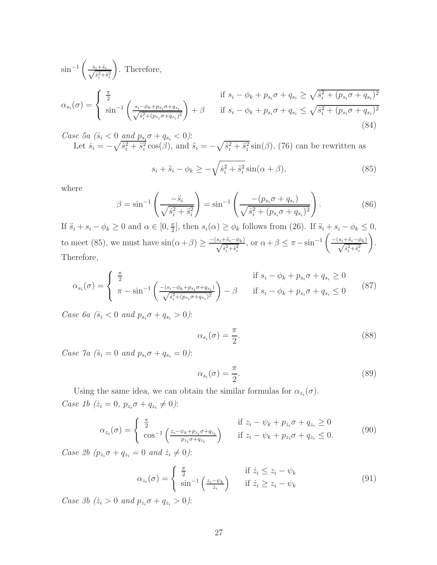$$
\sin^{-1}\left(\frac{s_i + \ddot{s}_i}{\sqrt{\dot{s}_i^2 + \ddot{s}_i^2}}\right). \text{ Therefore,}
$$
\n
$$
\alpha_{s_i}(\sigma) = \begin{cases}\n\frac{\pi}{2} & \text{if } s_i - \phi_k + p_{s_i}\sigma + q_{s_i} \ge \sqrt{\dot{s}_i^2 + (p_{s_i}\sigma + q_{s_i})^2} \\
\sin^{-1}\left(\frac{s_i - \phi_k + p_{s_i}\sigma + q_{s_i}}{\sqrt{\dot{s}_i^2 + (p_{s_i}\sigma + q_{s_i})^2}}\right) + \beta & \text{if } s_i - \phi_k + p_{s_i}\sigma + q_{s_i} \le \sqrt{\dot{s}_i^2 + (p_{s_i}\sigma + q_{s_i})^2}\n\end{cases}
$$
\n(84)

*Case 5a*  $(\dot{s}_i < 0 \text{ and } p_{s_i} \sigma + q_{s_i} < 0)$ : Let  $\dot{s}_i = -\sqrt{\dot{s}_i^2 + \ddot{s}_i^2} \cos(\beta)$ , and  $\ddot{s}_i = -\sqrt{\dot{s}_i^2 + \ddot{s}_i^2} \sin(\beta)$ , (76) can be rewritten as

$$
s_i + \ddot{s}_i - \phi_k \ge -\sqrt{\dot{s}_i^2 + \ddot{s}_i^2} \sin(\alpha + \beta),\tag{85}
$$

where

$$
\beta = \sin^{-1}\left(\frac{-\ddot{s}_i}{\sqrt{\dot{s}_i^2 + \ddot{s}_i^2}}\right) = \sin^{-1}\left(\frac{-(p_{s_i}\sigma + q_{s_i})}{\sqrt{\dot{s}_i^2 + (p_{s_i}\sigma + q_{s_i})^2}}\right). \tag{86}
$$

If  $\ddot{s}_i + s_i - \phi_k \geq 0$  and  $\alpha \in [0, \frac{\pi}{2}]$  $\frac{\pi}{2}$ , then  $s_i(\alpha) \geq \phi_k$  follows from (26). If  $\ddot{s}_i + s_i - \phi_k \leq 0$ , to meet (85), we must have  $\sin(\alpha+\beta) \ge \frac{-(s_i+\ddot{s}_i-\phi_k)}{\sqrt{\dot{s}_i^2+\ddot{s}_i^2}}$ , or  $\alpha+\beta \le \pi - \sin^{-1}\left(\frac{-(s_i+\ddot{s}_i-\phi_k)}{\sqrt{\dot{s}_i^2+\ddot{s}_i^2}}\right)$  $\setminus$ . Therefore,

$$
\alpha_{s_i}(\sigma) = \begin{cases} \frac{\pi}{2} & \text{if } s_i - \phi_k + p_{s_i}\sigma + q_{s_i} \ge 0\\ \pi - \sin^{-1}\left(\frac{-(s_i - \phi_k + p_{s_i}\sigma + q_{s_i})}{\sqrt{s_i^2 + (p_{s_i}\sigma + q_{s_i})^2}}\right) - \beta & \text{if } s_i - \phi_k + p_{s_i}\sigma + q_{s_i} \le 0 \end{cases}
$$
(87)

Case 6a ( $\dot{s}_i < 0$  and  $p_{s_i} \sigma + q_{s_i} > 0$ ):

$$
\alpha_{s_i}(\sigma) = \frac{\pi}{2}.\tag{88}
$$

Case  $\%$  ( $\dot{s}_i = 0$  and  $p_{s_i}\sigma + q_{s_i} = 0$ ):

$$
\alpha_{s_i}(\sigma) = \frac{\pi}{2}.\tag{89}
$$

Using the same idea, we can obtain the similar formulas for  $\alpha_{z_i}(\sigma)$ . Case 1b  $(\dot{z}_i = 0, p_{z_i} \sigma + q_{z_i} \neq 0)$ :

$$
\alpha_{z_i}(\sigma) = \begin{cases} \frac{\pi}{2} & \text{if } z_i - \psi_k + p_{z_i}\sigma + q_{z_i} \ge 0\\ \cos^{-1}\left(\frac{z_i - \psi_k + p_{z_i}\sigma + q_{z_i}}{p_{z_i}\sigma + q_{z_i}}\right) & \text{if } z_i - \psi_k + p_{z_i}\sigma + q_{z_i} \le 0. \end{cases} \tag{90}
$$

Case 2b  $(p_{z_i}\sigma + q_{z_i} = 0 \text{ and } \dot{z_i} \neq 0)$ :

$$
\alpha_{z_i}(\sigma) = \begin{cases} \frac{\pi}{2} & \text{if } \dot{z}_i \le z_i - \psi_k \\ \sin^{-1}\left(\frac{z_i - \psi_k}{\dot{z}_i}\right) & \text{if } \dot{z}_i \ge z_i - \psi_k \end{cases}
$$
(91)

Case 3b  $(\dot{z}_i > 0 \text{ and } p_{z_i} \sigma + q_{z_i} > 0)$ :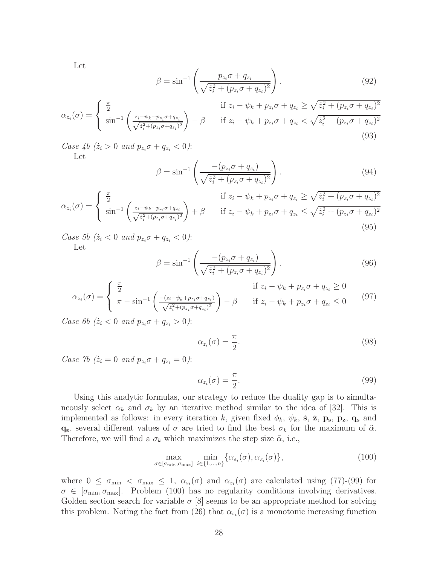Let

$$
\beta = \sin^{-1}\left(\frac{p_{z_i}\sigma + q_{z_i}}{\sqrt{\dot{z}_i^2 + (p_{z_i}\sigma + q_{z_i})^2}}\right).
$$
\n(92)

$$
\alpha_{z_i}(\sigma) = \begin{cases} \frac{\pi}{2} & \text{if } z_i - \psi_k + p_{z_i}\sigma + q_{z_i} \ge \sqrt{\dot{z}_i^2 + (p_{z_i}\sigma + q_{z_i})^2} \\ \sin^{-1}\left(\frac{z_i - \psi_k + p_{z_i}\sigma + q_{z_i}}{\sqrt{\dot{z}_i^2 + (p_{z_i}\sigma + q_{z_i})^2}}\right) - \beta & \text{if } z_i - \psi_k + p_{z_i}\sigma + q_{z_i} < \sqrt{\dot{z}_i^2 + (p_{z_i}\sigma + q_{z_i})^2} \end{cases}
$$
(93)

Case 4b  $(\dot{z}_i > 0 \text{ and } p_{z_i} \sigma + q_{z_i} < 0)$ : Let

$$
\beta = \sin^{-1}\left(\frac{-(p_{z_i}\sigma + q_{z_i})}{\sqrt{\dot{z}_i^2 + (p_{z_i}\sigma + q_{z_i})^2}}\right).
$$
\n(94)

$$
\alpha_{z_i}(\sigma) = \begin{cases} \frac{\pi}{2} & \text{if } z_i - \psi_k + p_{z_i}\sigma + q_{z_i} \ge \sqrt{\dot{z}_i^2 + (p_{z_i}\sigma + q_{z_i})^2} \\ \sin^{-1}\left(\frac{z_i - \psi_k + p_{z_i}\sigma + q_{z_i}}{\sqrt{\dot{z}_i^2 + (p_{z_i}\sigma + q_{z_i})^2}}\right) + \beta & \text{if } z_i - \psi_k + p_{z_i}\sigma + q_{z_i} \le \sqrt{\dot{z}_i^2 + (p_{z_i}\sigma + q_{z_i})^2} \end{cases}
$$
(95)

Case 5b  $(\dot{z}_i < 0 \text{ and } p_{z_i} \sigma + q_{z_i} < 0)$ : Let

$$
\beta = \sin^{-1}\left(\frac{-(p_{z_i}\sigma + q_{z_i})}{\sqrt{\dot{z}_i^2 + (p_{z_i}\sigma + q_{z_i})^2}}\right).
$$
\n(96)

$$
\alpha_{z_i}(\sigma) = \begin{cases} \frac{\pi}{2} & \text{if } z_i - \psi_k + p_{z_i}\sigma + q_{z_i} \ge 0\\ \pi - \sin^{-1}\left(\frac{-(z_i - \psi_k + p_{z_i}\sigma + q_{z_i})}{\sqrt{z_i^2 + (p_{z_i}\sigma + q_{z_i})^2}}\right) - \beta & \text{if } z_i - \psi_k + p_{z_i}\sigma + q_{z_i} \le 0 \end{cases}
$$
(97)

Case 6b ( $\dot{z}_i < 0$  and  $p_{z_i} \sigma + q_{z_i} > 0$ ):

$$
\alpha_{z_i}(\sigma) = \frac{\pi}{2}.\tag{98}
$$

Case 7b  $(\dot{z}_i = 0 \text{ and } p_{z_i} \sigma + q_{z_i} = 0)$ :

$$
\alpha_{z_i}(\sigma) = \frac{\pi}{2}.\tag{99}
$$

Using this analytic formulas, our strategy to reduce the duality gap is to simultaneously select  $\alpha_k$  and  $\sigma_k$  by an iterative method similar to the idea of [32]. This is implemented as follows: in every iteration k, given fixed  $\phi_k$ ,  $\psi_k$ , **s**,  $\dot{\mathbf{z}}$ ,  $\mathbf{p}_s$ ,  $\mathbf{p}_z$ ,  $\mathbf{q}_s$  and  $q_z$ , several different values of  $\sigma$  are tried to find the best  $\sigma_k$  for the maximum of  $\tilde{\alpha}$ . Therefore, we will find a  $\sigma_k$  which maximizes the step size  $\tilde{\alpha}$ , i.e.,

$$
\max_{\sigma \in [\sigma_{\min}, \sigma_{\max}]} \ \min_{i \in \{1, \dots, n\}} \{\alpha_{s_i}(\sigma), \alpha_{z_i}(\sigma)\},\tag{100}
$$

where  $0 \leq \sigma_{\min} < \sigma_{\max} \leq 1$ ,  $\alpha_{s_i}(\sigma)$  and  $\alpha_{z_i}(\sigma)$  are calculated using (77)-(99) for  $\sigma \in [\sigma_{\min}, \sigma_{\max}]$ . Problem (100) has no regularity conditions involving derivatives. Golden section search for variable  $\sigma$  [8] seems to be an appropriate method for solving this problem. Noting the fact from (26) that  $\alpha_{s_i}(\sigma)$  is a monotonic increasing function